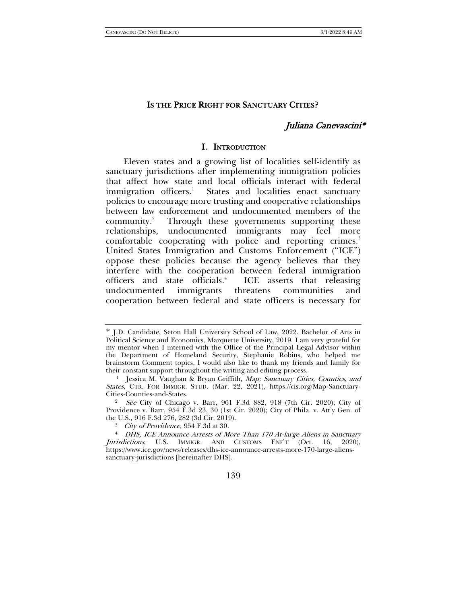#### IS THE PRICE RIGHT FOR SANCTUARY CITIES?

# Juliana Canevascini\*

#### I. INTRODUCTION

Eleven states and a growing list of localities self-identify as sanctuary jurisdictions after implementing immigration policies that affect how state and local officials interact with federal immigration officers.<sup>[1](#page-0-0)</sup> States and localities enact sanctuary policies to encourage more trusting and cooperative relationships between law enforcement and undocumented members of the community.<sup>[2](#page-0-1)</sup> Through these governments supporting these relationships, undocumented immigrants may feel more comfortable cooperating with police and reporting crimes.<sup>[3](#page-0-2)</sup> United States Immigration and Customs Enforcement ("ICE") oppose these policies because the agency believes that they interfere with the cooperation between federal immigration officers and state officials.[4](#page-0-3) ICE asserts that releasing undocumented immigrants threatens communities and cooperation between federal and state officers is necessary for

<span id="page-0-3"></span><span id="page-0-2"></span><sup>4</sup> DHS, ICE Announce Arrests of More Than 170 At-large Aliens in Sanctuary Jurisdictions, U.S. IMMIGR. AND CUSTOMS ENF'T (Oct. 16, 2020), https://www.ice.gov/news/releases/dhs-ice-announce-arrests-more-170-large-alienssanctuary-jurisdictions [hereinafter DHS].



<span id="page-0-4"></span><span id="page-0-0"></span><sup>\*</sup> J.D. Candidate, Seton Hall University School of Law, 2022. Bachelor of Arts in Political Science and Economics, Marquette University, 2019. I am very grateful for my mentor when I interned with the Office of the Principal Legal Advisor within the Department of Homeland Security, Stephanie Robins, who helped me brainstorm Comment topics. I would also like to thank my friends and family for their constant support throughout the writing and editing process.

<sup>&</sup>lt;sup>1</sup> Jessica M. Vaughan & Bryan Griffith, Map: Sanctuary Cities, Counties, and States, CTR. FOR IMMIGR. STUD. (Mar. 22, 2021), https://cis.org/Map-Sanctuary-Cities-Counties-and-States. 2 See City of Chicago v. Barr, 961 F.3d 882, 918 (7th Cir. 2020); City of

<span id="page-0-1"></span>Providence v. Barr, 954 F.3d 23, 30 (1st Cir. 2020); City of Phila. v. Att'y Gen. of the U.S., 916 F.3d 276, 282 (3d Cir. 2019).

<sup>3</sup> City of Providence, 954 F.3d at 30.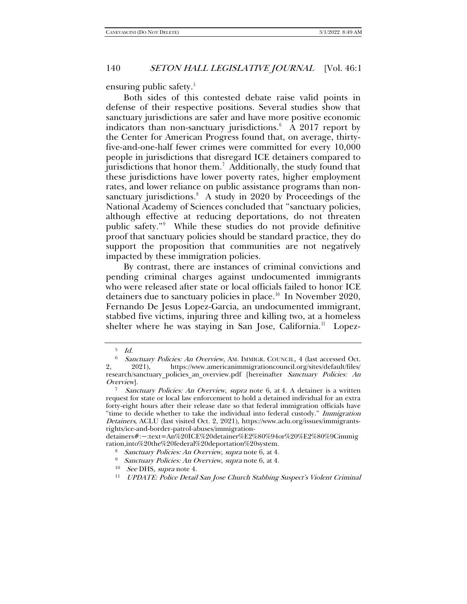ensuring public safety.<sup>[5](#page-1-1)</sup>

<span id="page-1-0"></span>Both sides of this contested debate raise valid points in defense of their respective positions. Several studies show that sanctuary jurisdictions are safer and have more positive economic indicators than non-sanctuary jurisdictions.[6](#page-1-2) A 2017 report by the Center for American Progress found that, on average, thirtyfive-and-one-half fewer crimes were committed for every 10,000 people in jurisdictions that disregard ICE detainers compared to jurisdictions that honor them.<sup>[7](#page-1-3)</sup> Additionally, the study found that these jurisdictions have lower poverty rates, higher employment rates, and lower reliance on public assistance programs than nonsanctuary jurisdictions.<sup>8</sup> A study in 2020 by Proceedings of the National Academy of Sciences concluded that "sanctuary policies, although effective at reducing deportations, do not threaten public safety."[9](#page-1-5) While these studies do not provide definitive proof that sanctuary policies should be standard practice, they do support the proposition that communities are not negatively impacted by these immigration policies.

By contrast, there are instances of criminal convictions and pending criminal charges against undocumented immigrants who were released after state or local officials failed to honor ICE detainers due to sanctuary policies in place.<sup>10</sup> In November 2020, Fernando De Jesus Lopez-Garcia, an undocumented immigrant, stabbed five victims, injuring three and killing two, at a homeless shelter where he was staying in San Jose, California.<sup>11</sup> Lopez-

<span id="page-1-7"></span><span id="page-1-6"></span><span id="page-1-5"></span><span id="page-1-4"></span>detainers#:~:text=An%20ICE%20detainer%E2%80%94or%20%E2%80%9Cimmig ration,into%20the%20federal%20deportation%20system. 8 Sanctuary Policies: An Overview, supra not[e 6,](#page-1-0) at 4.

<sup>5</sup> Id.

<span id="page-1-2"></span><span id="page-1-1"></span>Sanctuary Policies: An Overview, AM. IMMIGR. COUNCIL, 4 (last accessed Oct. 2, 2021), https://www.americanimmigrationcouncil.org/sites/default/files/ research/sanctuary\_policies\_an\_overview.pdf [hereinafter Sanctuary Policies: An Overview].

<span id="page-1-3"></span>Sanctuary Policies: An Overview, supra note [6,](#page-1-0) at 4. A detainer is a written request for state or local law enforcement to hold a detained individual for an extra forty-eight hours after their release date so that federal immigration officials have "time to decide whether to take the individual into federal custody." Immigration Detainers, ACLU (last visited Oct. 2, 2021), https://www.aclu.org/issues/immigrantsrights/ice-and-border-patrol-abuses/immigration-

<sup>&</sup>lt;sup>9</sup> Sanctuary Policies: An Overview, supra not[e 6,](#page-1-0) at 4.

 $10$  See DHS, supra note [4.](#page-0-4)

<sup>&</sup>lt;sup>11</sup> UPDATE: Police Detail San Jose Church Stabbing Suspect's Violent Criminal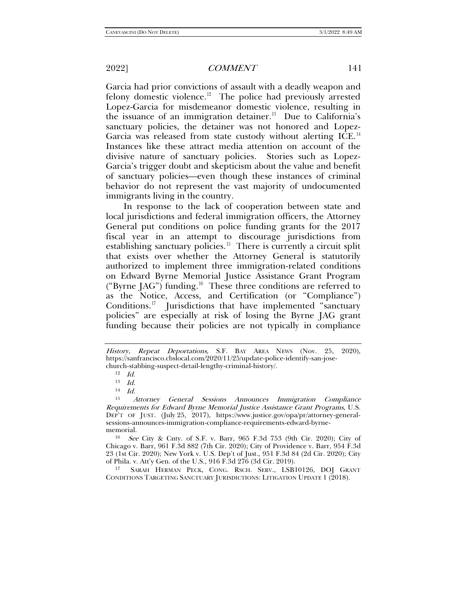Garcia had prior convictions of assault with a deadly weapon and felony domestic violence.<sup>12</sup> The police had previously arrested Lopez-Garcia for misdemeanor domestic violence, resulting in the issuance of an immigration detainer.<sup>[13](#page-2-1)</sup> Due to California's sanctuary policies, the detainer was not honored and Lopez-Garcia was released from state custody without alerting ICE.<sup>14</sup> Instances like these attract media attention on account of the divisive nature of sanctuary policies. Stories such as Lopez-Garcia's trigger doubt and skepticism about the value and benefit of sanctuary policies—even though these instances of criminal behavior do not represent the vast majority of undocumented immigrants living in the country.

In response to the lack of cooperation between state and local jurisdictions and federal immigration officers, the Attorney General put conditions on police funding grants for the 2017 fiscal year in an attempt to discourage jurisdictions from establishing sanctuary policies.<sup>[15](#page-2-3)</sup> There is currently a circuit split that exists over whether the Attorney General is statutorily authorized to implement three immigration-related conditions on Edward Byrne Memorial Justice Assistance Grant Program ("Byrne JAG") funding.[16](#page-2-4) These three conditions are referred to as the Notice, Access, and Certification (or "Compliance") Conditions.<sup>[17](#page-2-5)</sup> Jurisdictions that have implemented "sanctuary policies" are especially at risk of losing the Byrne JAG grant funding because their policies are not typically in compliance

<span id="page-2-4"></span><sup>16</sup> See City & Cnty. of S.F. v. Barr, 965 F.3d 753 (9th Cir. 2020); City of Chicago v. Barr, 961 F.3d 882 (7th Cir. 2020); City of Providence v. Barr, 954 F.3d 23 (1st Cir. 2020); New York v. U.S. Dep't of Just., 951 F.3d 84 (2d Cir. 2020); City of Phila. v. Att'y Gen. of the U.S., 916 F.3d 276 (3d Cir. 2019).

<span id="page-2-5"></span><sup>17</sup> SARAH HERMAN PECK, CONG. RSCH. SERV., LSB10126, DOJ GRANT CONDITIONS TARGETING SANCTUARY JURISDICTIONS: LITIGATION UPDATE 1 (2018).

<span id="page-2-0"></span>History, Repeat Deportations, S.F. BAY AREA NEWS (Nov. 25, 2020), https://sanfrancisco.cbslocal.com/2020/11/25/update-police-identify-san-josechurch-stabbing-suspect-detail-lengthy-criminal-history/.  $12$  Id.

<sup>13</sup> Id.

 $14$  *Id.* 

<span id="page-2-3"></span><span id="page-2-2"></span><span id="page-2-1"></span><sup>15</sup> Attorney General Sessions Announces Immigration Compliance Requirements for Edward Byrne Memorial Justice Assistance Grant Programs, U.S. DEP'T OF JUST. (July 25, 2017), https://www.justice.gov/opa/pr/attorney-generalsessions-announces-immigration-compliance-requirements-edward-byrnememorial.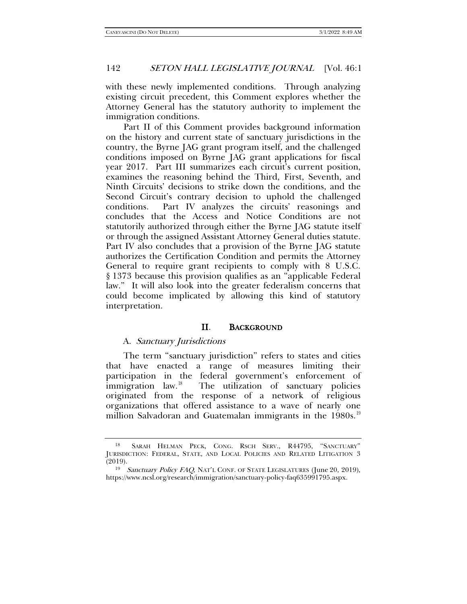with these newly implemented conditions. Through analyzing existing circuit precedent, this Comment explores whether the Attorney General has the statutory authority to implement the immigration conditions.

Part II of this Comment provides background information on the history and current state of sanctuary jurisdictions in the country, the Byrne JAG grant program itself, and the challenged conditions imposed on Byrne JAG grant applications for fiscal year 2017. Part III summarizes each circuit's current position, examines the reasoning behind the Third, First, Seventh, and Ninth Circuits' decisions to strike down the conditions, and the Second Circuit's contrary decision to uphold the challenged conditions. Part IV analyzes the circuits' reasonings and concludes that the Access and Notice Conditions are not statutorily authorized through either the Byrne JAG statute itself or through the assigned Assistant Attorney General duties statute. Part IV also concludes that a provision of the Byrne JAG statute authorizes the Certification Condition and permits the Attorney General to require grant recipients to comply with 8 U.S.C. § 1373 because this provision qualifies as an "applicable Federal law." It will also look into the greater federalism concerns that could become implicated by allowing this kind of statutory interpretation.

## II. BACKGROUND

### A. Sanctuary Jurisdictions

The term "sanctuary jurisdiction" refers to states and cities that have enacted a range of measures limiting their participation in the federal government's enforcement of immigration law.<sup>18</sup> The utilization of sanctuary policies The utilization of sanctuary policies originated from the response of a network of religious organizations that offered assistance to a wave of nearly one million Salvadoran and Guatemalan immigrants in the 1980s.<sup>19</sup>

<span id="page-3-0"></span><sup>18</sup> SARAH HELMAN PECK, CONG. RSCH SERV., R44795, "SANCTUARY" JURISDICTION: FEDERAL, STATE, AND LOCAL POLICIES AND RELATED LITIGATION 3 (2019).

<span id="page-3-1"></span><sup>&</sup>lt;sup>19</sup> Sanctuary Policy FAQ, NAT'L CONF. OF STATE LEGISLATURES (June 20, 2019), https://www.ncsl.org/research/immigration/sanctuary-policy-faq635991795.aspx.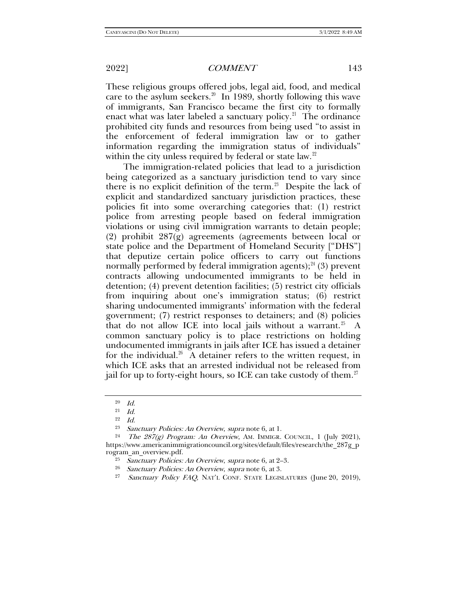These religious groups offered jobs, legal aid, food, and medical care to the asylum seekers.<sup>20</sup> In 1989, shortly following this wave of immigrants, San Francisco became the first city to formally enact what was later labeled a sanctuary policy.<sup>21</sup> The ordinance prohibited city funds and resources from being used "to assist in the enforcement of federal immigration law or to gather information regarding the immigration status of individuals" within the city unless required by federal or state law.<sup>[22](#page-4-2)</sup>

The immigration-related policies that lead to a jurisdiction being categorized as a sanctuary jurisdiction tend to vary since there is no explicit definition of the term.<sup>[23](#page-4-3)</sup> Despite the lack of explicit and standardized sanctuary jurisdiction practices, these policies fit into some overarching categories that: (1) restrict police from arresting people based on federal immigration violations or using civil immigration warrants to detain people; (2) prohibit 287(g) agreements (agreements between local or state police and the Department of Homeland Security ["DHS"] that deputize certain police officers to carry out functions normally performed by federal immigration agents); $^{24}$  $^{24}$  $^{24}$  (3) prevent contracts allowing undocumented immigrants to be held in detention; (4) prevent detention facilities; (5) restrict city officials from inquiring about one's immigration status; (6) restrict sharing undocumented immigrants' information with the federal government; (7) restrict responses to detainers; and (8) policies that do not allow ICE into local jails without a warrant.<sup>25</sup> A common sanctuary policy is to place restrictions on holding undocumented immigrants in jails after ICE has issued a detainer for the individual.<sup>26</sup> A detainer refers to the written request, in which ICE asks that an arrested individual not be released from jail for up to forty-eight hours, so ICE can take custody of them.<sup>[27](#page-4-7)</sup>

<sup>20</sup> Id.

 $^{21}\;$   $Id.$ 

<sup>22</sup> Id.

<sup>&</sup>lt;sup>23</sup> Sanctuary Policies: An Overview, supra note [6,](#page-1-0) at 1.<br><sup>24</sup> The 287(g) Program: An Overview, AM. IMMIGR. COUNCIL, 1 (July 2021),

<span id="page-4-7"></span><span id="page-4-6"></span><span id="page-4-5"></span><span id="page-4-4"></span><span id="page-4-3"></span><span id="page-4-2"></span><span id="page-4-1"></span><span id="page-4-0"></span>https://www.americanimmigrationcouncil.org/sites/default/files/research/the\_287g\_p rogram\_an\_overview.pdf.

<sup>&</sup>lt;sup>25</sup> Sanctuary Policies: An Overview, supra note [6,](#page-1-0) at 2–3.<br><sup>26</sup> Sanctuary Policies: An Overview, supra note 6, at 3.<br><sup>27</sup> Sanctuary Policy FAO NAT'I CONF STATE LECIS AT

Sanctuary Policy FAQ, NAT'L CONF. STATE LEGISLATURES (June 20, 2019),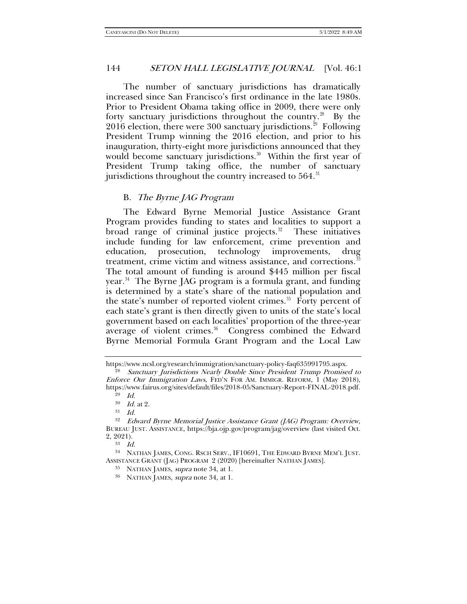The number of sanctuary jurisdictions has dramatically increased since San Francisco's first ordinance in the late 1980s. Prior to President Obama taking office in 2009, there were only forty sanctuary jurisdictions throughout the country.<sup>[28](#page-5-1)</sup> By the 2016 election, there were 300 sanctuary jurisdictions. $^{29}$  $^{29}$  $^{29}$  Following President Trump winning the 2016 election, and prior to his inauguration, thirty-eight more jurisdictions announced that they would become sanctuary jurisdictions.<sup>30</sup> Within the first year of President Trump taking office, the number of sanctuary jurisdictions throughout the country increased to  $564$ .<sup>[31](#page-5-4)</sup>

### B. The Byrne JAG Program

<span id="page-5-0"></span>The Edward Byrne Memorial Justice Assistance Grant Program provides funding to states and localities to support a broad range of criminal justice projects. $32$  These initiatives include funding for law enforcement, crime prevention and education, prosecution, technology improvements, drug treatment, crime victim and witness assistance, and corrections.<sup>33</sup> The total amount of funding is around \$445 million per fiscal year.<sup>34</sup> The Byrne JAG program is a formula grant, and funding is determined by a state's share of the national population and the state's number of reported violent crimes.<sup>[35](#page-5-8)</sup> Forty percent of each state's grant is then directly given to units of the state's local government based on each localities' proportion of the three-year average of violent crimes.<sup>36</sup> Congress combined the Edward Byrne Memorial Formula Grant Program and the Local Law

 $^{33}\quad Id.$ 

<span id="page-5-9"></span><span id="page-5-8"></span><span id="page-5-7"></span><span id="page-5-6"></span><sup>34</sup> NATHAN JAMES, CONG. RSCH SERV., IF10691, THE EDWARD BYRNE MEM'L JUST. ASSISTANCE GRANT (JAG) PROGRAM 2 (2020) [hereinafter NATHAN JAMES].

https://www.ncsl.org/research/immigration/sanctuary-policy-faq635991795.aspx.

<span id="page-5-2"></span><span id="page-5-1"></span><sup>&</sup>lt;sup>28</sup> Sanctuary Jurisdictions Nearly Double Since President Trump Promised to Enforce Our Immigration Laws, FED'N FOR AM. IMMIGR. REFORM, 1 (May 2018), https://www.fairus.org/sites/default/files/2018-05/Sanctuary-Report-FINAL-2018.pdf.

 $29$  Id.

 $30$  *Id.* at 2.

<sup>31</sup> Id.

<span id="page-5-5"></span><span id="page-5-4"></span><span id="page-5-3"></span><sup>32</sup> Edward Byrne Memorial Justice Assistance Grant (JAG) Program: Overview, BUREAU JUST. ASSISTANCE, https://bja.ojp.gov/program/jag/overview (last visited Oct. 2, 2021).

<sup>&</sup>lt;sup>35</sup> NATHAN JAMES, *supra* note [34,](#page-5-0) at 1.<br><sup>36</sup> NATHAN JAMES, *supra* note 34, at 1.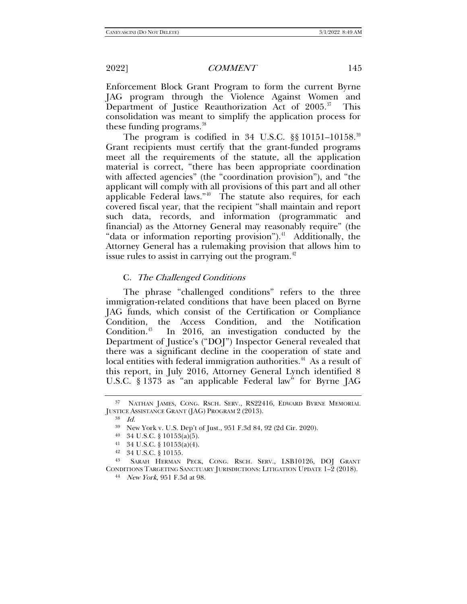Enforcement Block Grant Program to form the current Byrne JAG program through the Violence Against Women and Department of Justice Reauthorization Act of  $2005.^{37}$  This consolidation was meant to simplify the application process for these funding programs.<sup>[38](#page-6-1)</sup>

The program is codified in 34 U.S.C.  $\S$ § 10151–10158.<sup>39</sup> Grant recipients must certify that the grant-funded programs meet all the requirements of the statute, all the application material is correct, "there has been appropriate coordination with affected agencies" (the "coordination provision"), and "the applicant will comply with all provisions of this part and all other applicable Federal laws."<sup>[40](#page-6-3)</sup> The statute also requires, for each covered fiscal year, that the recipient "shall maintain and report such data, records, and information (programmatic and financial) as the Attorney General may reasonably require" (the "data or information reporting provision"). $41$  Additionally, the Attorney General has a rulemaking provision that allows him to issue rules to assist in carrying out the program. $42$ 

## C. The Challenged Conditions

The phrase "challenged conditions" refers to the three immigration-related conditions that have been placed on Byrne JAG funds, which consist of the Certification or Compliance Condition, the Access Condition, and the Notification Condition. $43$  In 2016, an investigation conducted by the Department of Justice's ("DOJ") Inspector General revealed that there was a significant decline in the cooperation of state and local entities with federal immigration authorities.<sup>[44](#page-6-7)</sup> As a result of this report, in July 2016, Attorney General Lynch identified 8 U.S.C. § 1373 as "an applicable Federal law" for Byrne JAG

<span id="page-6-2"></span><span id="page-6-1"></span><span id="page-6-0"></span><sup>37</sup> NATHAN JAMES, CONG. RSCH. SERV., RS22416, EDWARD BYRNE MEMORIAL JUSTICE ASSISTANCE GRANT (JAG) PROGRAM 2 (2013).

<sup>38</sup> Id.

<sup>39</sup> New York v. U.S. Dep't of Just., 951 F.3d 84, 92 (2d Cir. 2020).

<sup>40</sup> 34 U.S.C. § 10153(a)(5).

<sup>41</sup> 34 U.S.C. § 10153(a)(4).

<sup>42</sup> 34 U.S.C. § 10155.

<span id="page-6-7"></span><span id="page-6-6"></span><span id="page-6-5"></span><span id="page-6-4"></span><span id="page-6-3"></span><sup>43</sup> SARAH HERMAN PECK, CONG. RSCH. SERV., LSB10126, DOJ GRANT CONDITIONS TARGETING SANCTUARY JURISDICTIONS: LITIGATION UPDATE 1–2 (2018).<br><sup>44</sup> New York, 951 F.3d at 98.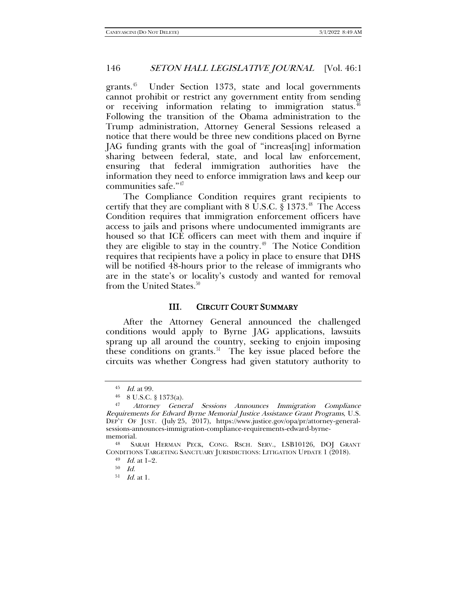grants.[45](#page-7-0) Under Section 1373, state and local governments cannot prohibit or restrict any government entity from sending or receiving information relating to immigration status. [46](#page-7-1) Following the transition of the Obama administration to the Trump administration, Attorney General Sessions released a notice that there would be three new conditions placed on Byrne JAG funding grants with the goal of "increas[ing] information sharing between federal, state, and local law enforcement, ensuring that federal immigration authorities have the information they need to enforce immigration laws and keep our communities safe."[47](#page-7-2)

The Compliance Condition requires grant recipients to certify that they are compliant with 8 U.S.C. § 1373.<sup>[48](#page-7-3)</sup> The Access Condition requires that immigration enforcement officers have access to jails and prisons where undocumented immigrants are housed so that ICE officers can meet with them and inquire if they are eligible to stay in the country. $49$  The Notice Condition requires that recipients have a policy in place to ensure that DHS will be notified 48-hours prior to the release of immigrants who are in the state's or locality's custody and wanted for removal from the United States.<sup>[50](#page-7-5)</sup>

### III. CIRCUIT COURT SUMMARY

After the Attorney General announced the challenged conditions would apply to Byrne JAG applications, lawsuits sprang up all around the country, seeking to enjoin imposing these conditions on grants. $51$  The key issue placed before the circuits was whether Congress had given statutory authority to

 $45$  *Id.* at 99.

<sup>46</sup> 8 U.S.C. § 1373(a).

<span id="page-7-2"></span><span id="page-7-1"></span><span id="page-7-0"></span><sup>47</sup> Attorney General Sessions Announces Immigration Compliance Requirements for Edward Byrne Memorial Justice Assistance Grant Programs, U.S. DEP'T OF JUST. (July 25, 2017), https://www.justice.gov/opa/pr/attorney-generalsessions-announces-immigration-compliance-requirements-edward-byrnememorial.

<span id="page-7-6"></span><span id="page-7-5"></span><span id="page-7-4"></span><span id="page-7-3"></span><sup>48</sup> SARAH HERMAN PECK, CONG. RSCH. SERV., LSB10126, DOJ GRANT CONDITIONS TARGETING SANCTUARY JURISDICTIONS: LITIGATION UPDATE 1 (2018).<br><sup>49</sup> Id. at 1–2.

<sup>50</sup> Id.

 $51$  *Id.* at 1.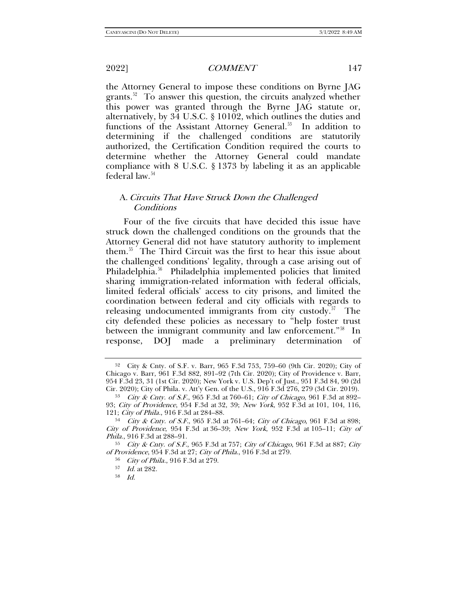the Attorney General to impose these conditions on Byrne JAG grants. $52$  To answer this question, the circuits analyzed whether this power was granted through the Byrne JAG statute or, alternatively, by 34 U.S.C. § 10102, which outlines the duties and functions of the Assistant Attorney General.<sup>53</sup> In addition to determining if the challenged conditions are statutorily authorized, the Certification Condition required the courts to determine whether the Attorney General could mandate compliance with 8 U.S.C. § 1373 by labeling it as an applicable federal law.<sup>[54](#page-8-2)</sup>

## A. Circuits That Have Struck Down the Challenged Conditions

Four of the five circuits that have decided this issue have struck down the challenged conditions on the grounds that the Attorney General did not have statutory authority to implement them.[55](#page-8-3) The Third Circuit was the first to hear this issue about the challenged conditions' legality, through a case arising out of Philadelphia.<sup>56</sup> Philadelphia implemented policies that limited sharing immigration-related information with federal officials, limited federal officials' access to city prisons, and limited the coordination between federal and city officials with regards to releasing undocumented immigrants from city custody.<sup>[57](#page-8-5)</sup> The city defended these policies as necessary to "help foster trust between the immigrant community and law enforcement."<sup>58</sup> In response, DOJ made a preliminary determination of

58 Id.

<span id="page-8-0"></span><sup>52</sup> City & Cnty. of S.F. v. Barr, 965 F.3d 753, 759–60 (9th Cir. 2020); City of Chicago v. Barr, 961 F.3d 882, 891–92 (7th Cir. 2020); City of Providence v. Barr, 954 F.3d 23, 31 (1st Cir. 2020); New York v. U.S. Dep't of Just., 951 F.3d 84, 90 (2d Cir. 2020); City of Phila. v. Att'y Gen. of the U.S., 916 F.3d 276, 279 (3d Cir. 2019).

<span id="page-8-1"></span><sup>53</sup> City & Cnty. of S.F., 965 F.3d at 760–61; City of Chicago, 961 F.3d at 892– 93; City of Providence, 954 F.3d at 32, 39; New York, 952 F.3d at 101, 104, 116, 121; City of Phila., 916 F.3d at 284–88.

<span id="page-8-2"></span><sup>54</sup> City & Cnty. of S.F., 965 F.3d at 761–64; City of Chicago, 961 F.3d at 898; City of Providence, 954 F.3d at 36–39; New York, 952 F.3d at 105–11; City of Phila., 916 F.3d at 288–91.

<span id="page-8-6"></span><span id="page-8-5"></span><span id="page-8-4"></span><span id="page-8-3"></span> $55$  City & Cnty. of S.F., 965 F.3d at 757; City of Chicago, 961 F.3d at 887; City of Providence, 954 F.3d at 27; City of Phila., 916 F.3d at 279.

<sup>56</sup> City of Phila., 916 F.3d at 279.

<sup>57</sup> Id. at 282.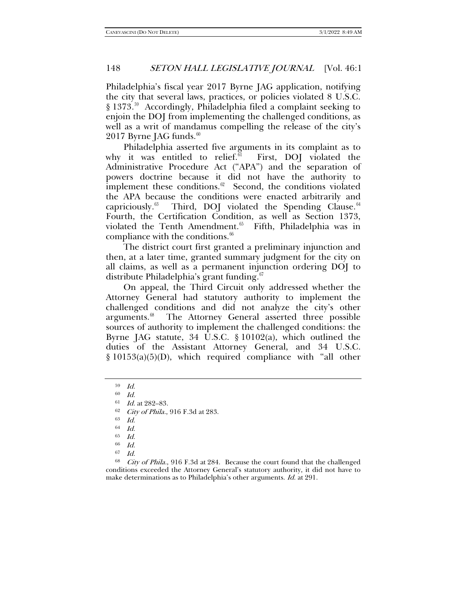Philadelphia's fiscal year 2017 Byrne JAG application, notifying the city that several laws, practices, or policies violated 8 U.S.C. § 1373.<sup>59</sup> Accordingly, Philadelphia filed a complaint seeking to enjoin the DOJ from implementing the challenged conditions, as well as a writ of mandamus compelling the release of the city's  $2017$  Byrne JAG funds.<sup>60</sup>

Philadelphia asserted five arguments in its complaint as to why it was entitled to relief. $61$  First, DOJ violated the Administrative Procedure Act ("APA") and the separation of powers doctrine because it did not have the authority to implement these conditions. $62$  Second, the conditions violated the APA because the conditions were enacted arbitrarily and capriciously.<sup>[63](#page-9-4)</sup> Third, DOJ violated the Spending Clause.<sup>64</sup> Fourth, the Certification Condition, as well as Section 1373, violated the Tenth Amendment.<sup>[65](#page-9-6)</sup> Fifth, Philadelphia was in compliance with the conditions.<sup>[66](#page-9-7)</sup>

The district court first granted a preliminary injunction and then, at a later time, granted summary judgment for the city on all claims, as well as a permanent injunction ordering DOJ to distribute Philadelphia's grant funding.<sup>[67](#page-9-8)</sup>

On appeal, the Third Circuit only addressed whether the Attorney General had statutory authority to implement the challenged conditions and did not analyze the city's other arguments.<sup>68</sup> The Attorney General asserted three possible The Attorney General asserted three possible sources of authority to implement the challenged conditions: the Byrne JAG statute, 34 U.S.C. § 10102(a), which outlined the duties of the Assistant Attorney General, and 34 U.S.C. § 10153(a)(5)(D), which required compliance with "all other

<span id="page-9-0"></span><sup>59</sup> Id.

<span id="page-9-1"></span> $60$  *Id.* 

<span id="page-9-2"></span><sup>61</sup> Id. at 282–83.

 $62$  *City of Phila.*, 916 F.3d at 283.

Id.

<sup>64</sup> Id.

<sup>65</sup> Id.

<sup>66</sup> Id.

<span id="page-9-9"></span><span id="page-9-8"></span><span id="page-9-7"></span><span id="page-9-6"></span><span id="page-9-5"></span><span id="page-9-4"></span><span id="page-9-3"></span><sup>&</sup>lt;sup>67</sup> Id.<br><sup>68</sup> City of Phila., 916 F.3d at 284. Because the court found that the challenged conditions exceeded the Attorney General's statutory authority, it did not have to make determinations as to Philadelphia's other arguments. Id. at 291.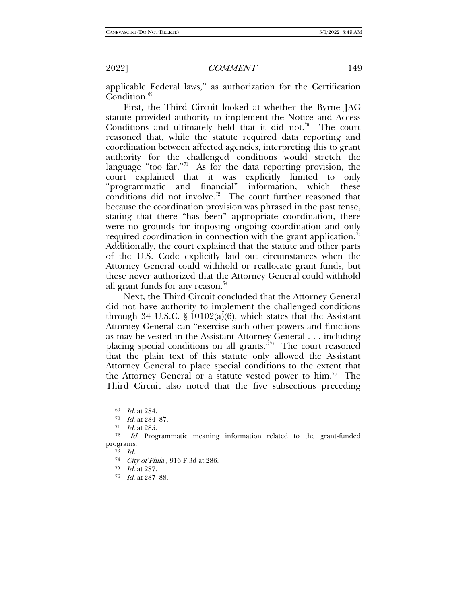applicable Federal laws," as authorization for the Certification  $\overline{\text{Condition}}$ .<sup>[69](#page-10-0)</sup>

First, the Third Circuit looked at whether the Byrne JAG statute provided authority to implement the Notice and Access Conditions and ultimately held that it did not.<sup>[70](#page-10-1)</sup> The court reasoned that, while the statute required data reporting and coordination between affected agencies, interpreting this to grant authority for the challenged conditions would stretch the language "too far."<sup>71</sup> As for the data reporting provision, the court explained that it was explicitly limited to only "programmatic and financial" information, which these conditions did not involve.<sup>72</sup> The court further reasoned that because the coordination provision was phrased in the past tense, stating that there "has been" appropriate coordination, there were no grounds for imposing ongoing coordination and only required coordination in connection with the grant application.<sup>73</sup> Additionally, the court explained that the statute and other parts of the U.S. Code explicitly laid out circumstances when the Attorney General could withhold or reallocate grant funds, but these never authorized that the Attorney General could withhold all grant funds for any reason.<sup>[74](#page-10-5)</sup>

Next, the Third Circuit concluded that the Attorney General did not have authority to implement the challenged conditions through 34 U.S.C.  $\S 10102(a)(6)$ , which states that the Assistant Attorney General can "exercise such other powers and functions as may be vested in the Assistant Attorney General . . . including placing special conditions on all grants.<sup>575</sup> The court reasoned that the plain text of this statute only allowed the Assistant Attorney General to place special conditions to the extent that the Attorney General or a statute vested power to him.<sup>[76](#page-10-7)</sup> The Third Circuit also noted that the five subsections preceding

<sup>69</sup> Id. at 284.

<sup>70</sup> Id. at 284–87.

 $\frac{71}{72}$  *Id.* at 285.

<span id="page-10-7"></span><span id="page-10-6"></span><span id="page-10-5"></span><span id="page-10-4"></span><span id="page-10-3"></span><span id="page-10-2"></span><span id="page-10-1"></span><span id="page-10-0"></span>Id. Programmatic meaning information related to the grant-funded programs.

<sup>73</sup> Id.

<sup>74</sup> City of Phila., 916 F.3d at 286.

<sup>75</sup> Id. at 287.

<sup>76</sup> Id. at 287–88.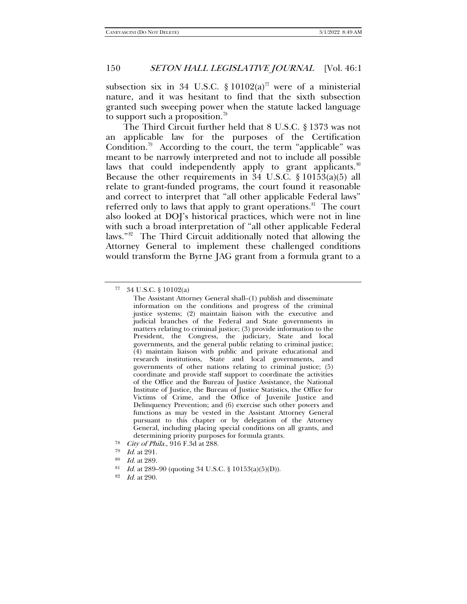subsection six in 34 U.S.C.  $\S 10102(a)^{77}$  $\S 10102(a)^{77}$  $\S 10102(a)^{77}$  were of a ministerial nature, and it was hesitant to find that the sixth subsection granted such sweeping power when the statute lacked language to support such a proposition.<sup>[78](#page-11-1)</sup>

The Third Circuit further held that 8 U.S.C. § 1373 was not an applicable law for the purposes of the Certification Condition.<sup>79</sup> According to the court, the term "applicable" was meant to be narrowly interpreted and not to include all possible laws that could independently apply to grant applicants. $80$ Because the other requirements in  $34 \text{ U.S.C. }$  §  $101\overline{53}$ (a)(5) all relate to grant-funded programs, the court found it reasonable and correct to interpret that "all other applicable Federal laws" referred only to laws that apply to grant operations.<sup>81</sup> The court also looked at DOJ's historical practices, which were not in line with such a broad interpretation of "all other applicable Federal laws."[82](#page-11-5) The Third Circuit additionally noted that allowing the Attorney General to implement these challenged conditions would transform the Byrne JAG grant from a formula grant to a

<span id="page-11-4"></span><sup>81</sup> *Id.* at 289–90 (quoting 34 U.S.C. § 10153(a)(5)(D)).

<span id="page-11-0"></span><sup>34</sup> U.S.C. § 10102(a)

The Assistant Attorney General shall–(1) publish and disseminate information on the conditions and progress of the criminal justice systems; (2) maintain liaison with the executive and judicial branches of the Federal and State governments in matters relating to criminal justice; (3) provide information to the President, the Congress, the judiciary, State and local governments, and the general public relating to criminal justice; (4) maintain liaison with public and private educational and research institutions, State and local governments, and governments of other nations relating to criminal justice; (5) coordinate and provide staff support to coordinate the activities of the Office and the Bureau of Justice Assistance, the National Institute of Justice, the Bureau of Justice Statistics, the Office for Victims of Crime, and the Office of Juvenile Justice and Delinquency Prevention; and (6) exercise such other powers and functions as may be vested in the Assistant Attorney General pursuant to this chapter or by delegation of the Attorney General, including placing special conditions on all grants, and determining priority purposes for formula grants.

<span id="page-11-1"></span><sup>&</sup>lt;sup>78</sup> *City of Phila.*, 916 F.3d at 288.<br> $^{79}$  *Id at* 991

*Id.* at 291.

<span id="page-11-3"></span><span id="page-11-2"></span><sup>80</sup> Id. at 289.

<span id="page-11-5"></span><sup>82</sup> Id. at 290.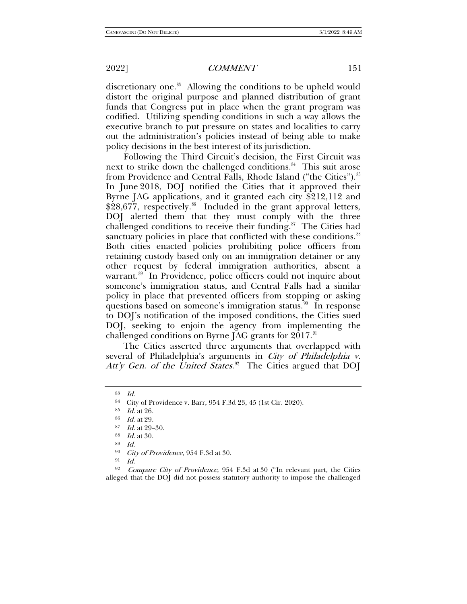discretionary one.<sup>[83](#page-12-0)</sup> Allowing the conditions to be upheld would distort the original purpose and planned distribution of grant funds that Congress put in place when the grant program was codified. Utilizing spending conditions in such a way allows the executive branch to put pressure on states and localities to carry out the administration's policies instead of being able to make policy decisions in the best interest of its jurisdiction.

Following the Third Circuit's decision, the First Circuit was next to strike down the challenged conditions.<sup>84</sup> This suit arose from Providence and Central Falls, Rhode Island ("the Cities").<sup>85</sup> In June 2018, DOJ notified the Cities that it approved their Byrne JAG applications, and it granted each city \$212,112 and  $$28,677$ , respectively.<sup>86</sup> Included in the grant approval letters, DOJ alerted them that they must comply with the three challenged conditions to receive their funding. $87$  The Cities had sanctuary policies in place that conflicted with these conditions.<sup>88</sup> Both cities enacted policies prohibiting police officers from retaining custody based only on an immigration detainer or any other request by federal immigration authorities, absent a warrant.<sup>[89](#page-12-6)</sup> In Providence, police officers could not inquire about someone's immigration status, and Central Falls had a similar policy in place that prevented officers from stopping or asking questions based on someone's immigration status.<sup>90</sup> In response to DOJ's notification of the imposed conditions, the Cities sued DOJ, seeking to enjoin the agency from implementing the challenged conditions on Byrne JAG grants for  $2017.^91$  $2017.^91$ 

The Cities asserted three arguments that overlapped with several of Philadelphia's arguments in City of Philadelphia v. Att'y Gen. of the United States.<sup>[92](#page-12-9)</sup> The Cities argued that DOJ

<span id="page-12-0"></span><sup>83</sup> Id.

<span id="page-12-1"></span><sup>&</sup>lt;sup>84</sup> City of Providence v. Barr, 954 F.3d 23, 45 (1st Cir. 2020).<br><sup>85</sup> Id. at 26.

<span id="page-12-2"></span>

<sup>86</sup> Id. at 29.

<span id="page-12-3"></span><sup>87</sup> Id. at 29–30.

<sup>88</sup> Id. at 30.

<sup>89</sup> Id.

 $^{90}$  *City of Providence*, 954 F.3d at 30.

Id.

<span id="page-12-9"></span><span id="page-12-8"></span><span id="page-12-7"></span><span id="page-12-6"></span><span id="page-12-5"></span><span id="page-12-4"></span> $92$  Compare City of Providence, 954 F.3d at 30 ("In relevant part, the Cities alleged that the DOJ did not possess statutory authority to impose the challenged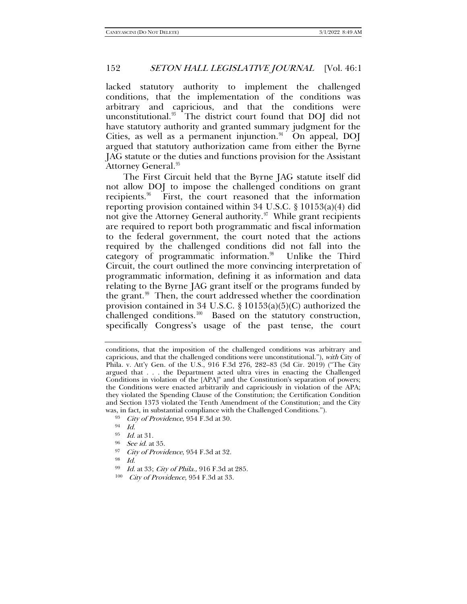lacked statutory authority to implement the challenged conditions, that the implementation of the conditions was arbitrary and capricious, and that the conditions were unconstitutional.<sup>93</sup> The district court found that DOJ did not have statutory authority and granted summary judgment for the Cities, as well as a permanent injunction. $94$  On appeal, DOJ argued that statutory authorization came from either the Byrne JAG statute or the duties and functions provision for the Assistant Attorney General.<sup>[95](#page-13-2)</sup>

The First Circuit held that the Byrne JAG statute itself did not allow DOJ to impose the challenged conditions on grant recipients.<sup>96</sup> First, the court reasoned that the information reporting provision contained within 34 U.S.C. § 10153(a)(4) did not give the Attorney General authority. $\mathfrak{I}$  While grant recipients are required to report both programmatic and fiscal information to the federal government, the court noted that the actions required by the challenged conditions did not fall into the category of programmatic information. $\frac{98}{100}$  $\frac{98}{100}$  $\frac{98}{100}$  Unlike the Third Circuit, the court outlined the more convincing interpretation of programmatic information, defining it as information and data relating to the Byrne JAG grant itself or the programs funded by the grant. $99$  Then, the court addressed whether the coordination provision contained in 34 U.S.C. § 10153(a)(5)(C) authorized the challenged conditions.<sup>100</sup> Based on the statutory construction, specifically Congress's usage of the past tense, the court

<span id="page-13-4"></span><span id="page-13-3"></span><span id="page-13-2"></span><sup>96</sup> See id. at 35.

- <span id="page-13-6"></span><span id="page-13-5"></span>98 Id.
- <sup>99</sup> Id. at 33; City of Phila., 916 F.3d at 285.
- <span id="page-13-7"></span><sup>100</sup> City of Providence, 954 F.3d at 33.

conditions, that the imposition of the challenged conditions was arbitrary and capricious, and that the challenged conditions were unconstitutional."), with City of Phila. v. Att'y Gen. of the U.S., 916 F.3d 276, 282–83 (3d Cir. 2019) ("The City argued that . . . the Department acted ultra vires in enacting the Challenged Conditions in violation of the [APA]" and the Constitution's separation of powers; the Conditions were enacted arbitrarily and capriciously in violation of the APA; they violated the Spending Clause of the Constitution; the Certification Condition and Section 1373 violated the Tenth Amendment of the Constitution; and the City was, in fact, in substantial compliance with the Challenged Conditions.").

<span id="page-13-0"></span><sup>93</sup> City of Providence, 954 F.3d at 30.

<span id="page-13-1"></span><sup>94</sup> Id.

<sup>95</sup> Id. at 31.

<sup>97</sup> City of Providence, 954 F.3d at 32.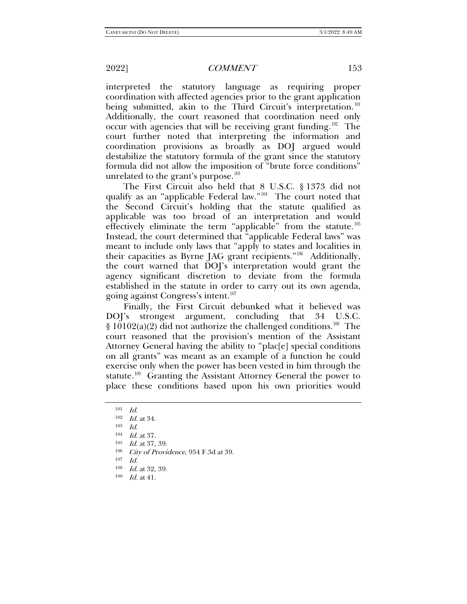interpreted the statutory language as requiring proper coordination with affected agencies prior to the grant application being submitted, akin to the Third Circuit's interpretation.<sup>101</sup> Additionally, the court reasoned that coordination need only occur with agencies that will be receiving grant funding.<sup>102</sup> The court further noted that interpreting the information and coordination provisions as broadly as DOJ argued would destabilize the statutory formula of the grant since the statutory formula did not allow the imposition of "brute force conditions" unrelated to the grant's purpose. $^{103}$  $^{103}$  $^{103}$ 

The First Circuit also held that 8 U.S.C. § 1373 did not qualify as an "applicable Federal law."[104](#page-14-3) The court noted that the Second Circuit's holding that the statute qualified as applicable was too broad of an interpretation and would effectively eliminate the term "applicable" from the statute.<sup>105</sup> Instead, the court determined that "applicable Federal laws" was meant to include only laws that "apply to states and localities in their capacities as Byrne JAG grant recipients."[106](#page-14-5) Additionally, the court warned that DOJ's interpretation would grant the agency significant discretion to deviate from the formula established in the statute in order to carry out its own agenda, going against Congress's intent.[107](#page-14-6)

Finally, the First Circuit debunked what it believed was DOJ's strongest argument, concluding that 34 U.S.C. § 10102(a)(2) did not authorize the challenged conditions.<sup>[108](#page-14-7)</sup> The court reasoned that the provision's mention of the Assistant Attorney General having the ability to "plac[e] special conditions on all grants" was meant as an example of a function he could exercise only when the power has been vested in him through the statute.<sup>109</sup> Granting the Assistant Attorney General the power to place these conditions based upon his own priorities would

- <span id="page-14-5"></span><span id="page-14-4"></span>City of Providence, 954 F.3d at 39.
- <span id="page-14-6"></span> $107$  *Id.*
- <span id="page-14-7"></span><sup>108</sup> Id. at 32, 39.
- <span id="page-14-8"></span><sup>109</sup> Id. at 41.

<span id="page-14-1"></span><span id="page-14-0"></span> $\frac{101}{102}$  *Id.* at 34.<br>  $\frac{103}{103}$  *Id.* 

<span id="page-14-3"></span><span id="page-14-2"></span> $104$  *Id.* at 37.

 $\frac{105}{106}$  *Id.* at 37, 39.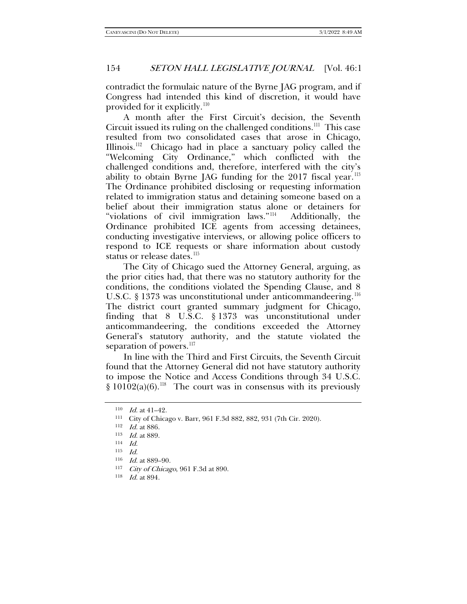contradict the formulaic nature of the Byrne JAG program, and if Congress had intended this kind of discretion, it would have provided for it explicitly.[110](#page-15-0)

A month after the First Circuit's decision, the Seventh Circuit issued its ruling on the challenged conditions.<sup>111</sup> This case resulted from two consolidated cases that arose in Chicago, Illinois.<sup>[112](#page-15-2)</sup> Chicago had in place a sanctuary policy called the "Welcoming City Ordinance," which conflicted with the challenged conditions and, therefore, interfered with the city's ability to obtain Byrne JAG funding for the 2017 fiscal year.<sup>113</sup> The Ordinance prohibited disclosing or requesting information related to immigration status and detaining someone based on a belief about their immigration status alone or detainers for "violations of civil immigration laws."[114](#page-15-4) Additionally, the Ordinance prohibited ICE agents from accessing detainees, conducting investigative interviews, or allowing police officers to respond to ICE requests or share information about custody status or release dates.<sup>[115](#page-15-5)</sup>

The City of Chicago sued the Attorney General, arguing, as the prior cities had, that there was no statutory authority for the conditions, the conditions violated the Spending Clause, and 8 U.S.C. § 1373 was unconstitutional under anticommandeering.<sup>116</sup> The district court granted summary judgment for Chicago, finding that 8 U.S.C. § 1373 was unconstitutional under anticommandeering, the conditions exceeded the Attorney General's statutory authority, and the statute violated the separation of powers.<sup>[117](#page-15-7)</sup>

In line with the Third and First Circuits, the Seventh Circuit found that the Attorney General did not have statutory authority to impose the Notice and Access Conditions through 34 U.S.C.  $§ 10102(a)(6)$ .<sup>[118](#page-15-8)</sup> The court was in consensus with its previously

<span id="page-15-0"></span> $110$  *Id.* at 41–42.

<span id="page-15-1"></span><sup>111</sup> City of Chicago v. Barr, 961 F.3d 882, 882, 931 (7th Cir. 2020).

<span id="page-15-2"></span><sup>112</sup> Id. at 886.

<span id="page-15-3"></span><sup>113</sup> Id. at 889.

<span id="page-15-4"></span><sup>114</sup> Id.

<span id="page-15-5"></span> $^{115} \quad Id.$ 

<span id="page-15-6"></span><sup>116</sup> Id. at 889–90.

<span id="page-15-7"></span><sup>117</sup> City of Chicago, 961 F.3d at 890.

<span id="page-15-8"></span><sup>118</sup> Id. at 894.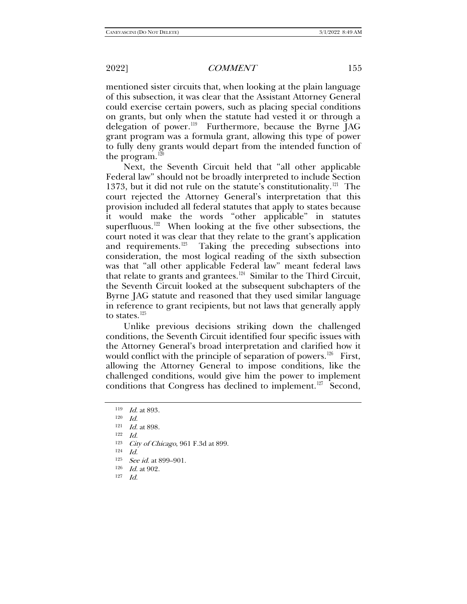mentioned sister circuits that, when looking at the plain language of this subsection, it was clear that the Assistant Attorney General could exercise certain powers, such as placing special conditions on grants, but only when the statute had vested it or through a delegation of power.<sup>[119](#page-16-0)</sup> Furthermore, because the Byrne JAG grant program was a formula grant, allowing this type of power to fully deny grants would depart from the intended function of the program. $120$ 

Next, the Seventh Circuit held that "all other applicable Federal law" should not be broadly interpreted to include Section 1373, but it did not rule on the statute's constitutionality.<sup>[121](#page-16-2)</sup> The court rejected the Attorney General's interpretation that this provision included all federal statutes that apply to states because it would make the words "other applicable" in statutes superfluous.<sup>[122](#page-16-3)</sup> When looking at the five other subsections, the court noted it was clear that they relate to the grant's application and requirements.<sup>123</sup> Taking the preceding subsections into consideration, the most logical reading of the sixth subsection was that "all other applicable Federal law" meant federal laws that relate to grants and grantees.[124](#page-16-5) Similar to the Third Circuit, the Seventh Circuit looked at the subsequent subchapters of the Byrne JAG statute and reasoned that they used similar language in reference to grant recipients, but not laws that generally apply to states. $125$ 

Unlike previous decisions striking down the challenged conditions, the Seventh Circuit identified four specific issues with the Attorney General's broad interpretation and clarified how it would conflict with the principle of separation of powers.<sup>126</sup> First, allowing the Attorney General to impose conditions, like the challenged conditions, would give him the power to implement conditions that Congress has declined to implement.<sup>127</sup> Second,

- <span id="page-16-6"></span><span id="page-16-5"></span> $125$  *See id.* at 899–901.
- <span id="page-16-7"></span><sup>126</sup> Id. at 902.
- <span id="page-16-8"></span>127 Id.

<span id="page-16-0"></span><sup>119</sup> Id. at 893.

 $120$  *Id.* 

<span id="page-16-3"></span><span id="page-16-2"></span><span id="page-16-1"></span><sup>121</sup> Id. at 898.

 $122$  *Id.* 

<span id="page-16-4"></span><sup>&</sup>lt;sup>123</sup> *City of Chicago*, 961 F.3d at 899.

Id.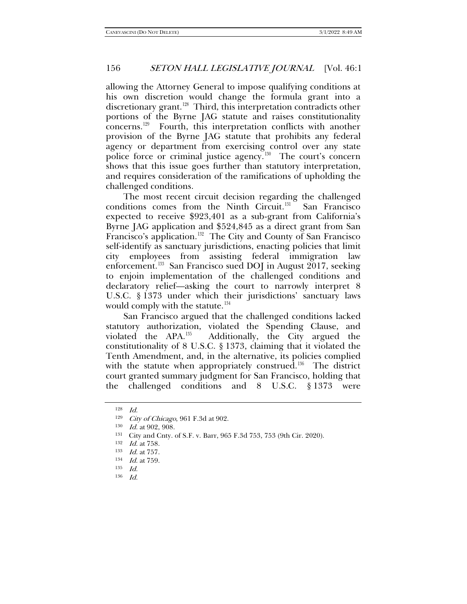allowing the Attorney General to impose qualifying conditions at his own discretion would change the formula grant into a discretionary grant.<sup>128</sup> Third, this interpretation contradicts other portions of the Byrne JAG statute and raises constitutionality concerns.[129](#page-17-1) Fourth, this interpretation conflicts with another provision of the Byrne JAG statute that prohibits any federal agency or department from exercising control over any state police force or criminal justice agency.[130](#page-17-2) The court's concern shows that this issue goes further than statutory interpretation, and requires consideration of the ramifications of upholding the challenged conditions.

The most recent circuit decision regarding the challenged conditions comes from the Ninth Circuit.<sup>131</sup> San Francisco expected to receive \$923,401 as a sub-grant from California's Byrne JAG application and \$524,845 as a direct grant from San Francisco's application.<sup>[132](#page-17-4)</sup> The City and County of San Francisco self-identify as sanctuary jurisdictions, enacting policies that limit city employees from assisting federal immigration law enforcement.<sup>[133](#page-17-5)</sup> San Francisco sued DOJ in August 2017, seeking to enjoin implementation of the challenged conditions and declaratory relief—asking the court to narrowly interpret 8 U.S.C. § 1373 under which their jurisdictions' sanctuary laws would comply with the statute.<sup>[134](#page-17-6)</sup>

San Francisco argued that the challenged conditions lacked statutory authorization, violated the Spending Clause, and violated the  $APA^{135}$  Additionally, the City argued the constitutionality of 8 U.S.C. § 1373, claiming that it violated the Tenth Amendment, and, in the alternative, its policies complied with the statute when appropriately construed.<sup>136</sup> The district court granted summary judgment for San Francisco, holding that the challenged conditions and 8 U.S.C. § 1373 were

<span id="page-17-1"></span><span id="page-17-0"></span><sup>128</sup> Id.

<span id="page-17-2"></span><sup>&</sup>lt;sup>129</sup> *City of Chicago*, 961 F.3d at 902.<br><sup>130</sup> *Id* at 902.908

Id. at 902, 908.

<span id="page-17-3"></span><sup>131</sup> City and Cnty. of S.F. v. Barr, 965 F.3d 753, 753 (9th Cir. 2020).

<sup>132</sup> *Id.* at 758.

<span id="page-17-6"></span><span id="page-17-5"></span><span id="page-17-4"></span><sup>133</sup> Id. at 757.

<sup>134</sup> Id. at 759.

<span id="page-17-7"></span><sup>135</sup> Id.

<span id="page-17-8"></span><sup>136</sup> Id.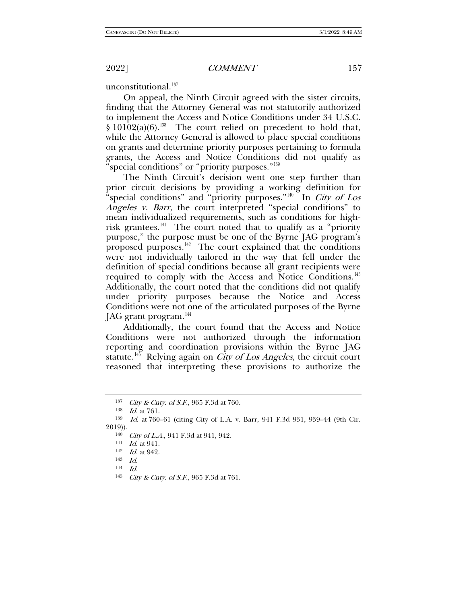unconstitutional. $137$ 

On appeal, the Ninth Circuit agreed with the sister circuits, finding that the Attorney General was not statutorily authorized to implement the Access and Notice Conditions under 34 U.S.C.  $§ 10102(a)(6).$ <sup>[138](#page-18-1)</sup> The court relied on precedent to hold that, while the Attorney General is allowed to place special conditions on grants and determine priority purposes pertaining to formula grants, the Access and Notice Conditions did not qualify as 'special conditions" or "priority purposes."<sup>[139](#page-18-2)</sup>

The Ninth Circuit's decision went one step further than prior circuit decisions by providing a working definition for "special conditions" and "priority purposes."<sup>140</sup> In *City of Los* Angeles v. Barr, the court interpreted "special conditions" to mean individualized requirements, such as conditions for high-risk grantees.<sup>[141](#page-18-4)</sup> The court noted that to qualify as a "priority" purpose," the purpose must be one of the Byrne JAG program's proposed purposes.<sup>[142](#page-18-5)</sup> The court explained that the conditions were not individually tailored in the way that fell under the definition of special conditions because all grant recipients were required to comply with the Access and Notice Conditions.<sup>143</sup> Additionally, the court noted that the conditions did not qualify under priority purposes because the Notice and Access Conditions were not one of the articulated purposes of the Byrne JAG grant program.<sup>[144](#page-18-7)</sup>

Additionally, the court found that the Access and Notice Conditions were not authorized through the information reporting and coordination provisions within the Byrne JAG statute.<sup>145</sup> Relying again on *City of Los Angeles*, the circuit court reasoned that interpreting these provisions to authorize the

<sup>&</sup>lt;sup>137</sup> *City & Cnty. of S.F.*, 965 F.3d at 760.

 $\frac{138}{139}$  *Id.* at 761.

<span id="page-18-6"></span><span id="page-18-5"></span><span id="page-18-4"></span><span id="page-18-3"></span><span id="page-18-2"></span><span id="page-18-1"></span><span id="page-18-0"></span>Id. at 760–61 (citing City of L.A. v. Barr, 941 F.3d 931, 939–44 (9th Cir. 2019)).

<sup>&</sup>lt;sup>140</sup> *City of L.A.*, 941 F.3d at 941, 942.<br><sup>141</sup> *Id.* at 941.

<sup>142</sup> Id. at 942.

<sup>143</sup> Id.

<span id="page-18-7"></span><sup>144</sup> Id.

<span id="page-18-8"></span><sup>145</sup> City & Cnty. of S.F., 965 F.3d at 761.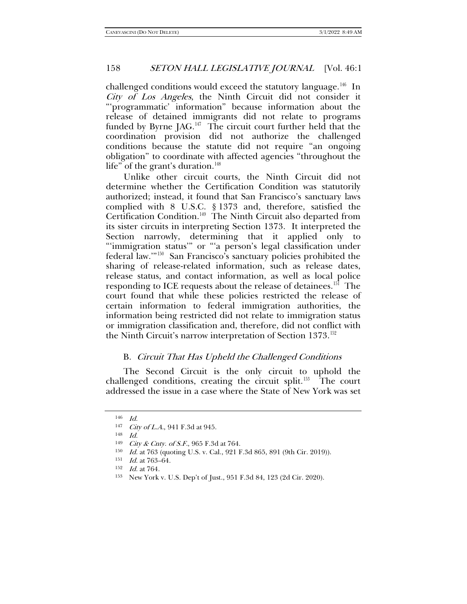challenged conditions would exceed the statutory language.<sup>[146](#page-19-0)</sup> In City of Los Angeles, the Ninth Circuit did not consider it "'programmatic' information" because information about the release of detained immigrants did not relate to programs funded by Byrne  $[AG<sup>147</sup>]$  The circuit court further held that the coordination provision did not authorize the challenged conditions because the statute did not require "an ongoing obligation" to coordinate with affected agencies "throughout the life" of the grant's duration.<sup>[148](#page-19-2)</sup>

Unlike other circuit courts, the Ninth Circuit did not determine whether the Certification Condition was statutorily authorized; instead, it found that San Francisco's sanctuary laws complied with 8 U.S.C. § 1373 and, therefore, satisfied the Certification Condition.[149](#page-19-3) The Ninth Circuit also departed from its sister circuits in interpreting Section 1373. It interpreted the Section narrowly, determining that it applied only to "'immigration status'" or "'a person's legal classification under federal law.'"[150](#page-19-4) San Francisco's sanctuary policies prohibited the sharing of release-related information, such as release dates, release status, and contact information, as well as local police responding to ICE requests about the release of detainees.<sup>[151](#page-19-5)</sup> The court found that while these policies restricted the release of certain information to federal immigration authorities, the information being restricted did not relate to immigration status or immigration classification and, therefore, did not conflict with the Ninth Circuit's narrow interpretation of Section 1373.<sup>[152](#page-19-6)</sup>

# B. Circuit That Has Upheld the Challenged Conditions

The Second Circuit is the only circuit to uphold the challenged conditions, creating the circuit split.<sup>[153](#page-19-7)</sup> The court addressed the issue in a case where the State of New York was set

<span id="page-19-1"></span><span id="page-19-0"></span><sup>146</sup> Id.

<sup>147</sup> City of L.A., 941 F.3d at 945.

<span id="page-19-2"></span><sup>148</sup> Id.

<span id="page-19-3"></span><sup>&</sup>lt;sup>149</sup> *City & Cnty. of S.F.*, 965 F.3d at 764.

<span id="page-19-4"></span><sup>150</sup> Id. at 763 (quoting U.S. v. Cal., 921 F.3d 865, 891 (9th Cir. 2019)).

<span id="page-19-5"></span><sup>&</sup>lt;sup>151</sup> *Id.* at 763-64.

<span id="page-19-6"></span><sup>152</sup> Id. at 764.

<span id="page-19-7"></span><sup>153</sup> New York v. U.S. Dep't of Just., 951 F.3d 84, 123 (2d Cir. 2020).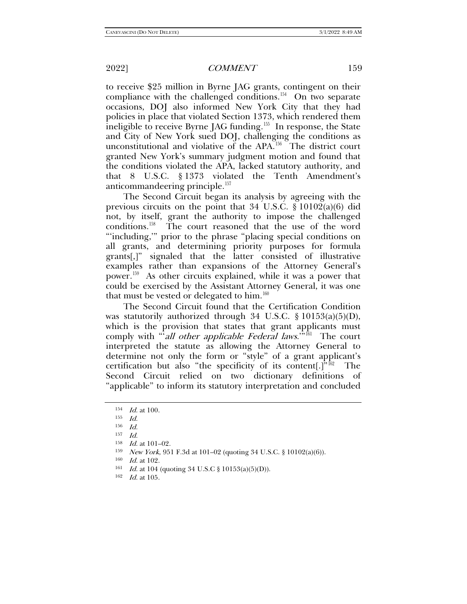to receive \$25 million in Byrne JAG grants, contingent on their compliance with the challenged conditions.<sup>154</sup> On two separate occasions, DOJ also informed New York City that they had policies in place that violated Section 1373, which rendered them ineligible to receive Byrne JAG funding.<sup>155</sup> In response, the State and City of New York sued DOJ, challenging the conditions as unconstitutional and violative of the APA.<sup>[156](#page-20-2)</sup> The district court granted New York's summary judgment motion and found that the conditions violated the APA, lacked statutory authority, and that 8 U.S.C. § 1373 violated the Tenth Amendment's anticommandeering principle.<sup>[157](#page-20-3)</sup>

The Second Circuit began its analysis by agreeing with the previous circuits on the point that 34 U.S.C. § 10102(a)(6) did not, by itself, grant the authority to impose the challenged conditions.[158](#page-20-4) The court reasoned that the use of the word "'including,'" prior to the phrase "placing special conditions on all grants, and determining priority purposes for formula grants[,]" signaled that the latter consisted of illustrative examples rather than expansions of the Attorney General's power.[159](#page-20-5) As other circuits explained, while it was a power that could be exercised by the Assistant Attorney General, it was one that must be vested or delegated to him.<sup>[160](#page-20-6)</sup>

The Second Circuit found that the Certification Condition was statutorily authorized through 34 U.S.C. § 10153(a)(5)(D), which is the provision that states that grant applicants must comply with "'all other applicable Federal laws."<sup>[161](#page-20-7)</sup> The court interpreted the statute as allowing the Attorney General to determine not only the form or "style" of a grant applicant's certification but also "the specificity of its content[.]" $162$  The Second Circuit relied on two dictionary definitions of "applicable" to inform its statutory interpretation and concluded

<span id="page-20-7"></span><sup>161</sup> Id. at 104 (quoting 34 U.S.C § 10153(a)(5)(D)).

<span id="page-20-0"></span> $154$  *Id.* at 100.

<span id="page-20-1"></span><sup>155</sup> Id.

<span id="page-20-2"></span><sup>156</sup> Id.

<span id="page-20-4"></span><span id="page-20-3"></span> $\frac{157}{158}$  *Id.* at 101–02.<br>  $\frac{159}{159}$  *New York* 95

*New York*, 951 F.3d at 101–02 (quoting 34 U.S.C. § 10102(a)(6)).

<span id="page-20-6"></span><span id="page-20-5"></span><sup>160</sup> Id. at 102.

<span id="page-20-8"></span><sup>162</sup> Id. at 105.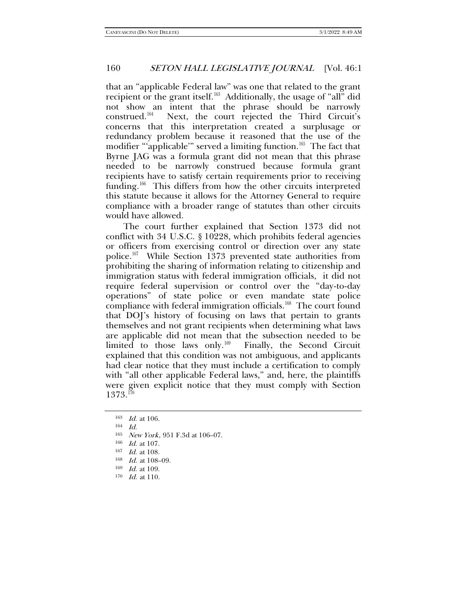that an "applicable Federal law" was one that related to the grant recipient or the grant itself.[163](#page-21-0) Additionally, the usage of "all" did not show an intent that the phrase should be narrowly construed.<sup>164</sup> Next, the court rejected the Third Circuit's Next, the court rejected the Third Circuit's concerns that this interpretation created a surplusage or redundancy problem because it reasoned that the use of the modifier "'applicable'" served a limiting function.<sup>[165](#page-21-2)</sup> The fact that Byrne JAG was a formula grant did not mean that this phrase needed to be narrowly construed because formula grant recipients have to satisfy certain requirements prior to receiving funding.<sup>[166](#page-21-3)</sup> This differs from how the other circuits interpreted this statute because it allows for the Attorney General to require compliance with a broader range of statutes than other circuits would have allowed.

The court further explained that Section 1373 did not conflict with 34 U.S.C. § 10228, which prohibits federal agencies or officers from exercising control or direction over any state police.<sup>167</sup> While Section 1373 prevented state authorities from prohibiting the sharing of information relating to citizenship and immigration status with federal immigration officials, it did not require federal supervision or control over the "day-to-day operations" of state police or even mandate state police compliance with federal immigration officials.<sup>168</sup> The court found that DOJ's history of focusing on laws that pertain to grants themselves and not grant recipients when determining what laws are applicable did not mean that the subsection needed to be limited to those laws only.<sup>[169](#page-21-6)</sup> Finally, the Second Circuit explained that this condition was not ambiguous, and applicants had clear notice that they must include a certification to comply with "all other applicable Federal laws," and, here, the plaintiffs were given explicit notice that they must comply with Section  $1373.^{170}$  $1373.^{170}$  $1373.^{170}$ 

<span id="page-21-0"></span><sup>163</sup> Id. at 106.

<span id="page-21-2"></span><span id="page-21-1"></span> $164$  Id.

<sup>165</sup> New York, 951 F.3d at 106–07.

<span id="page-21-3"></span><sup>166</sup> Id. at 107.

<sup>167</sup> Id. at 108.

<span id="page-21-5"></span><span id="page-21-4"></span><sup>168</sup> Id. at 108–09.

<span id="page-21-6"></span><sup>169</sup> Id. at 109.

<span id="page-21-7"></span> $170$  *Id.* at 110.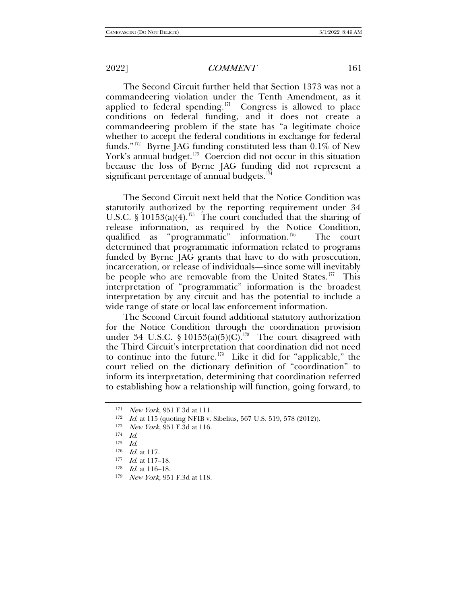The Second Circuit further held that Section 1373 was not a commandeering violation under the Tenth Amendment, as it applied to federal spending.<sup>171</sup> Congress is allowed to place conditions on federal funding, and it does not create a commandeering problem if the state has "a legitimate choice whether to accept the federal conditions in exchange for federal funds."[172](#page-22-1) Byrne JAG funding constituted less than 0.1% of New York's annual budget.<sup>[173](#page-22-2)</sup> Coercion did not occur in this situation because the loss of Byrne JAG funding did not represent a significant percentage of annual budgets.<sup>[174](#page-22-3)</sup>

The Second Circuit next held that the Notice Condition was statutorily authorized by the reporting requirement under 34 U.S.C.  $\S$  10153(a)(4).<sup>[175](#page-22-4)</sup> The court concluded that the sharing of release information, as required by the Notice Condition, qualified as "programmatic" information.<sup>176</sup> The court determined that programmatic information related to programs funded by Byrne JAG grants that have to do with prosecution, incarceration, or release of individuals—since some will inevitably be people who are removable from the United States.<sup>177</sup> This interpretation of "programmatic" information is the broadest interpretation by any circuit and has the potential to include a wide range of state or local law enforcement information.

The Second Circuit found additional statutory authorization for the Notice Condition through the coordination provision under 34 U.S.C. § 10153(a)(5)(C).<sup>178</sup> The court disagreed with the Third Circuit's interpretation that coordination did not need to continue into the future.<sup>179</sup> Like it did for "applicable," the court relied on the dictionary definition of "coordination" to inform its interpretation, determining that coordination referred to establishing how a relationship will function, going forward, to

<span id="page-22-9"></span>

<span id="page-22-0"></span><sup>171</sup> New York, 951 F.3d at 111.

<span id="page-22-1"></span><sup>172</sup> Id. at 115 (quoting NFIB v. Sibelius, 567 U.S. 519, 578 (2012)).

<span id="page-22-2"></span><sup>&</sup>lt;sup>173</sup> *New York*, 951 F.3d at 116.<br><sup>174</sup> *Id.* 

<span id="page-22-4"></span><span id="page-22-3"></span> $\frac{175}{176}$  *Id.* at 117.

<span id="page-22-6"></span><span id="page-22-5"></span><sup>177</sup> *Id.* at 117-18.

<span id="page-22-7"></span> $178$  *Id.* at 116–18.

<span id="page-22-8"></span><sup>179</sup> New York, 951 F.3d at 118.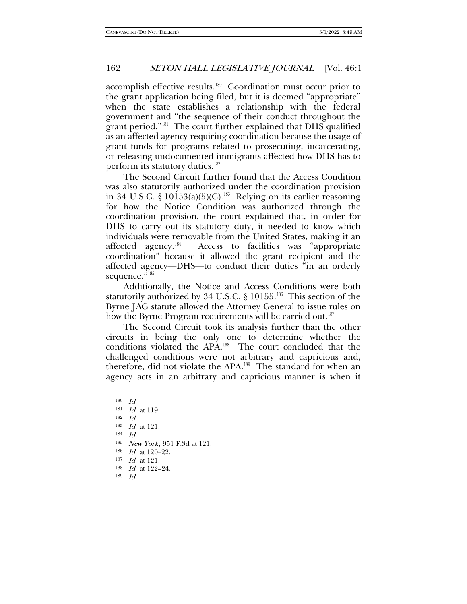accomplish effective results.<sup>180</sup> Coordination must occur prior to the grant application being filed, but it is deemed "appropriate" when the state establishes a relationship with the federal government and "the sequence of their conduct throughout the grant period."<sup>181</sup> The court further explained that DHS qualified as an affected agency requiring coordination because the usage of grant funds for programs related to prosecuting, incarcerating, or releasing undocumented immigrants affected how DHS has to perform its statutory duties.<sup>[182](#page-23-2)</sup>

The Second Circuit further found that the Access Condition was also statutorily authorized under the coordination provision in 34 U.S.C. §  $10153(a)(5)(C)$ .<sup>183</sup> Relying on its earlier reasoning for how the Notice Condition was authorized through the coordination provision, the court explained that, in order for DHS to carry out its statutory duty, it needed to know which individuals were removable from the United States, making it an affected agency.<sup>[184](#page-23-4)</sup> Access to facilities was "appropriate coordination" because it allowed the grant recipient and the affected agency—DHS—to conduct their duties "in an orderly sequence."<sup>[185](#page-23-5)</sup>

Additionally, the Notice and Access Conditions were both statutorily authorized by 34 U.S.C. § 10155.<sup>[186](#page-23-6)</sup> This section of the Byrne JAG statute allowed the Attorney General to issue rules on how the Byrne Program requirements will be carried out.<sup>[187](#page-23-7)</sup>

The Second Circuit took its analysis further than the other circuits in being the only one to determine whether the conditions violated the APA.[188](#page-23-8) The court concluded that the challenged conditions were not arbitrary and capricious and, therefore, did not violate the APA.[189](#page-23-9) The standard for when an agency acts in an arbitrary and capricious manner is when it

<span id="page-23-1"></span><span id="page-23-0"></span><sup>180</sup> Id.

<sup>181</sup> Id. at 119.

<span id="page-23-2"></span><sup>182</sup> Id.

<span id="page-23-3"></span><sup>183</sup> Id. at 121.

<sup>184</sup>  $Id$ 

<span id="page-23-5"></span><span id="page-23-4"></span><sup>185</sup> New York, 951 F.3d at 121.

<span id="page-23-8"></span><span id="page-23-7"></span><span id="page-23-6"></span><sup>186</sup> *Id.* at 120-22.

<sup>187</sup> Id. at 121.

<sup>188</sup> *Id.* at 122-24.

<span id="page-23-9"></span><sup>189</sup> Id.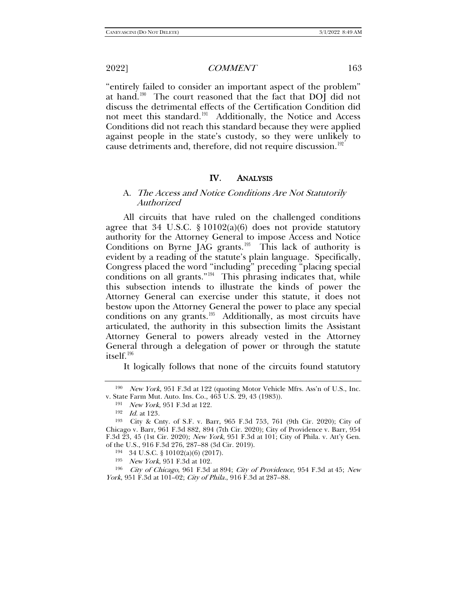"entirely failed to consider an important aspect of the problem" at hand.<sup>190</sup> The court reasoned that the fact that DOJ did not discuss the detrimental effects of the Certification Condition did not meet this standard.<sup>191</sup> Additionally, the Notice and Access Conditions did not reach this standard because they were applied against people in the state's custody, so they were unlikely to cause detriments and, therefore, did not require discussion.<sup>192</sup>

#### IV. ANALYSIS

## A. The Access and Notice Conditions Are Not Statutorily Authorized

All circuits that have ruled on the challenged conditions agree that 34 U.S.C. § 10102(a)(6) does not provide statutory authority for the Attorney General to impose Access and Notice Conditions on Byrne JAG grants.<sup>193</sup> This lack of authority is evident by a reading of the statute's plain language. Specifically, Congress placed the word "including" preceding "placing special conditions on all grants." $194$  This phrasing indicates that, while this subsection intends to illustrate the kinds of power the Attorney General can exercise under this statute, it does not bestow upon the Attorney General the power to place any special conditions on any grants.[195](#page-24-5) Additionally, as most circuits have articulated, the authority in this subsection limits the Assistant Attorney General to powers already vested in the Attorney General through a delegation of power or through the statute itself.[196](#page-24-6)

It logically follows that none of the circuits found statutory

<span id="page-24-1"></span><span id="page-24-0"></span><sup>190</sup> New York, 951 F.3d at 122 (quoting Motor Vehicle Mfrs. Ass'n of U.S., Inc. v. State Farm Mut. Auto. Ins. Co., 463 U.S. 29, 43 (1983)).

<sup>191</sup> New York, 951 F.3d at 122.

<sup>192</sup> Id. at 123.

<span id="page-24-3"></span><span id="page-24-2"></span><sup>193</sup> City & Cnty. of S.F. v. Barr, 965 F.3d 753, 761 (9th Cir. 2020); City of Chicago v. Barr, 961 F.3d 882, 894 (7th Cir. 2020); City of Providence v. Barr, 954 F.3d 23, 45 (1st Cir. 2020); New York, 951 F.3d at 101; City of Phila. v. Att'y Gen. of the U.S., 916 F.3d 276, 287–88 (3d Cir. 2019).

<sup>194</sup> 34 U.S.C. § 10102(a)(6) (2017).

<sup>195</sup> New York, 951 F.3d at 102.

<span id="page-24-6"></span><span id="page-24-5"></span><span id="page-24-4"></span><sup>196</sup> City of Chicago, 961 F.3d at 894; City of Providence, 954 F.3d at 45; New York, 951 F.3d at 101–02; City of Phila., 916 F.3d at 287–88.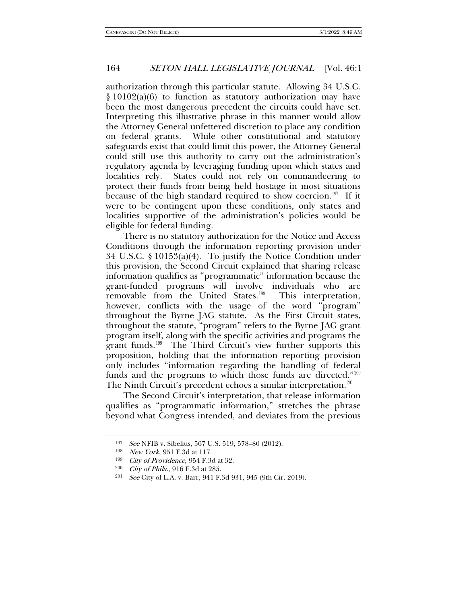authorization through this particular statute. Allowing 34 U.S.C. § 10102(a)(6) to function as statutory authorization may have been the most dangerous precedent the circuits could have set. Interpreting this illustrative phrase in this manner would allow the Attorney General unfettered discretion to place any condition on federal grants. While other constitutional and statutory safeguards exist that could limit this power, the Attorney General could still use this authority to carry out the administration's regulatory agenda by leveraging funding upon which states and localities rely. States could not rely on commandeering to protect their funds from being held hostage in most situations because of the high standard required to show coercion.<sup>197</sup> If it were to be contingent upon these conditions, only states and localities supportive of the administration's policies would be eligible for federal funding.

There is no statutory authorization for the Notice and Access Conditions through the information reporting provision under 34 U.S.C. § 10153(a)(4). To justify the Notice Condition under this provision, the Second Circuit explained that sharing release information qualifies as "programmatic" information because the grant-funded programs will involve individuals who are removable from the United States.<sup>198</sup> This interpretation, however, conflicts with the usage of the word "program" throughout the Byrne JAG statute. As the First Circuit states, throughout the statute, "program" refers to the Byrne JAG grant program itself, along with the specific activities and programs the grant funds.<sup>199</sup> The Third Circuit's view further supports this proposition, holding that the information reporting provision only includes "information regarding the handling of federal funds and the programs to which those funds are directed."<sup>200</sup> The Ninth Circuit's precedent echoes a similar interpretation.<sup>[201](#page-25-4)</sup>

<span id="page-25-5"></span>The Second Circuit's interpretation, that release information qualifies as "programmatic information," stretches the phrase beyond what Congress intended, and deviates from the previous

<span id="page-25-0"></span><sup>197</sup> See NFIB v. Sibelius, 567 U.S. 519, 578–80 (2012).<br><sup>198</sup> New York, 951 F.3d at 117.

<span id="page-25-2"></span><span id="page-25-1"></span> $199$  City of Providence, 954 F.3d at 32.

<span id="page-25-4"></span><span id="page-25-3"></span><sup>&</sup>lt;sup>200</sup> *City of Phila.*, 916 F.3d at 285.<br><sup>201</sup> See City of L.A. v. Barr, 941 F.

See City of L.A. v. Barr, 941 F.3d 931, 945 (9th Cir. 2019).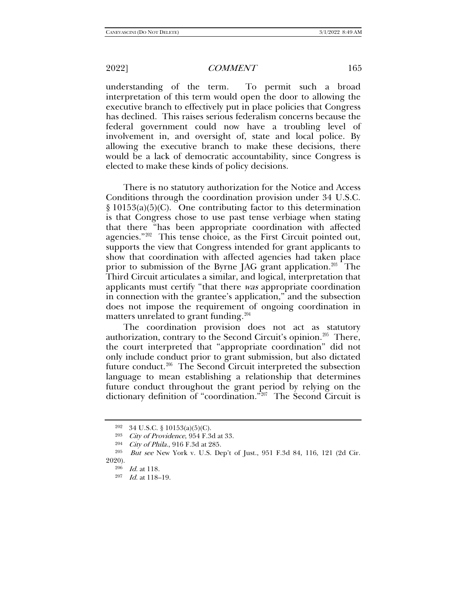understanding of the term. To permit such a broad interpretation of this term would open the door to allowing the executive branch to effectively put in place policies that Congress has declined. This raises serious federalism concerns because the federal government could now have a troubling level of involvement in, and oversight of, state and local police. By allowing the executive branch to make these decisions, there would be a lack of democratic accountability, since Congress is elected to make these kinds of policy decisions.

There is no statutory authorization for the Notice and Access Conditions through the coordination provision under 34 U.S.C. § 10153(a)(5)(C). One contributing factor to this determination is that Congress chose to use past tense verbiage when stating that there "has been appropriate coordination with affected agencies."[202](#page-26-0) This tense choice, as the First Circuit pointed out, supports the view that Congress intended for grant applicants to show that coordination with affected agencies had taken place prior to submission of the Byrne JAG grant application.<sup>203</sup> The Third Circuit articulates a similar, and logical, interpretation that applicants must certify "that there was appropriate coordination in connection with the grantee's application," and the subsection does not impose the requirement of ongoing coordination in matters unrelated to grant funding.<sup>[204](#page-26-2)</sup>

The coordination provision does not act as statutory authorization, contrary to the Second Circuit's opinion.[205](#page-26-3) There, the court interpreted that "appropriate coordination" did not only include conduct prior to grant submission, but also dictated future conduct.<sup>[206](#page-26-4)</sup> The Second Circuit interpreted the subsection language to mean establishing a relationship that determines future conduct throughout the grant period by relying on the dictionary definition of "coordination."<sup>207</sup> The Second Circuit is

<sup>202</sup> 34 U.S.C. § 10153(a)(5)(C).

<sup>203</sup> City of Providence, 954 F.3d at 33.

<sup>204</sup> City of Phila., 916 F.3d at 285.

<span id="page-26-5"></span><span id="page-26-4"></span><span id="page-26-3"></span><span id="page-26-2"></span><span id="page-26-1"></span><span id="page-26-0"></span><sup>205</sup> But see New York v. U.S. Dep't of Just., 951 F.3d 84, 116, 121 (2d Cir. 2020).

<sup>206</sup> Id. at 118.

<sup>207</sup> Id. at 118–19.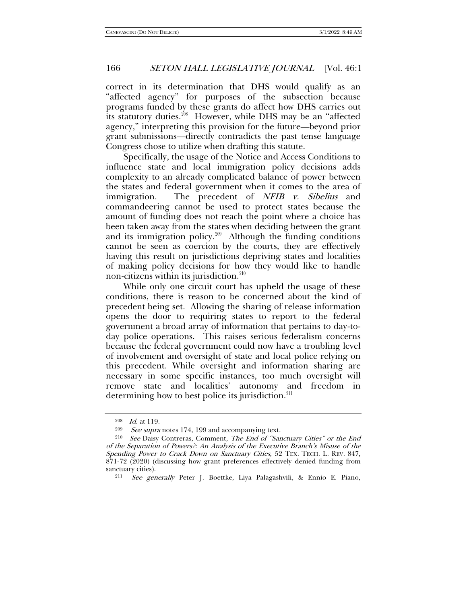correct in its determination that DHS would qualify as an "affected agency" for purposes of the subsection because programs funded by these grants do affect how DHS carries out its statutory duties.<sup>[208](#page-27-0)</sup> However, while DHS may be an "affected agency," interpreting this provision for the future—beyond prior grant submissions—directly contradicts the past tense language Congress chose to utilize when drafting this statute.

Specifically, the usage of the Notice and Access Conditions to influence state and local immigration policy decisions adds complexity to an already complicated balance of power between the states and federal government when it comes to the area of immigration. The precedent of NFIB v. Sibelius and commandeering cannot be used to protect states because the amount of funding does not reach the point where a choice has been taken away from the states when deciding between the grant and its immigration policy. $209$  Although the funding conditions cannot be seen as coercion by the courts, they are effectively having this result on jurisdictions depriving states and localities of making policy decisions for how they would like to handle non-citizens within its jurisdiction.<sup>[210](#page-27-2)</sup>

While only one circuit court has upheld the usage of these conditions, there is reason to be concerned about the kind of precedent being set. Allowing the sharing of release information opens the door to requiring states to report to the federal government a broad array of information that pertains to day-today police operations. This raises serious federalism concerns because the federal government could now have a troubling level of involvement and oversight of state and local police relying on this precedent. While oversight and information sharing are necessary in some specific instances, too much oversight will remove state and localities' autonomy and freedom in determining how to best police its jurisdiction.<sup>211</sup>

 $\frac{208}{209}$  *Id.* at 119.

<sup>&</sup>lt;sup>209</sup> See supra notes [174,](#page-22-9) [199](#page-25-5) and accompanying text.<br><sup>210</sup> See Daisy Contreras, Comment, *The End of "Sar* 

<span id="page-27-3"></span><span id="page-27-2"></span><span id="page-27-1"></span><span id="page-27-0"></span>See Daisy Contreras, Comment, The End of "Sanctuary Cities" or the End of the Separation of Powers?: An Analysis of the Executive Branch's Misuse of the Spending Power to Crack Down on Sanctuary Cities, 52 TEX. TECH. L. REV. 847, 871-72 (2020) (discussing how grant preferences effectively denied funding from sanctuary cities).

<sup>211</sup> See generally Peter J. Boettke, Liya Palagashvili, & Ennio E. Piano,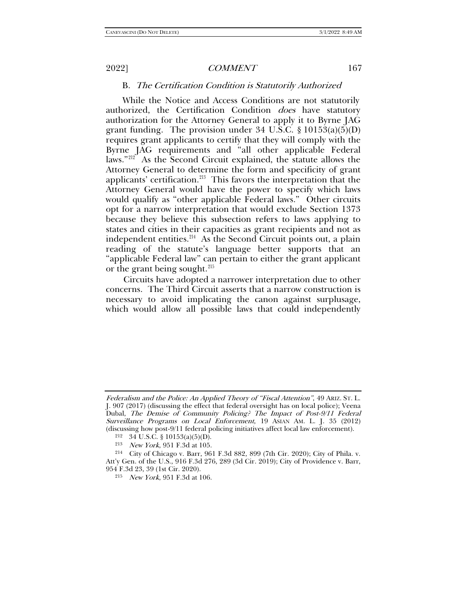## B. The Certification Condition is Statutorily Authorized

While the Notice and Access Conditions are not statutorily authorized, the Certification Condition *does* have statutory authorization for the Attorney General to apply it to Byrne JAG grant funding. The provision under 34 U.S.C.  $\S 10153(a)(5)(D)$ requires grant applicants to certify that they will comply with the Byrne JAG requirements and "all other applicable Federal laws."<sup>212</sup> As the Second Circuit explained, the statute allows the As the Second Circuit explained, the statute allows the Attorney General to determine the form and specificity of grant applicants' certification. $213$  This favors the interpretation that the Attorney General would have the power to specify which laws would qualify as "other applicable Federal laws." Other circuits opt for a narrow interpretation that would exclude Section 1373 because they believe this subsection refers to laws applying to states and cities in their capacities as grant recipients and not as independent entities. $214$  As the Second Circuit points out, a plain reading of the statute's language better supports that an "applicable Federal law" can pertain to either the grant applicant or the grant being sought.<sup>[215](#page-28-3)</sup>

Circuits have adopted a narrower interpretation due to other concerns. The Third Circuit asserts that a narrow construction is necessary to avoid implicating the canon against surplusage, which would allow all possible laws that could independently

Federalism and the Police: An Applied Theory of "Fiscal Attention", 49 ARIZ. ST. L. J. 907 (2017) (discussing the effect that federal oversight has on local police); Veena Dubal, The Demise of Community Policing? The Impact of Post-9/11 Federal Surveillance Programs on Local Enforcement, 19 ASIAN AM. L. J. 35 (2012) (discussing how post-9/11 federal policing initiatives affect local law enforcement).

 $212$  34 U.S.C. § 10153(a)(5)(D).

<sup>213</sup> New York, 951 F.3d at 105.

<span id="page-28-3"></span><span id="page-28-2"></span><span id="page-28-1"></span><span id="page-28-0"></span><sup>214</sup> City of Chicago v. Barr, 961 F.3d 882, 899 (7th Cir. 2020); City of Phila. v. Att'y Gen. of the U.S., 916 F.3d 276, 289 (3d Cir. 2019); City of Providence v. Barr, 954 F.3d 23, 39 (1st Cir. 2020).

<sup>215</sup> New York, 951 F.3d at 106.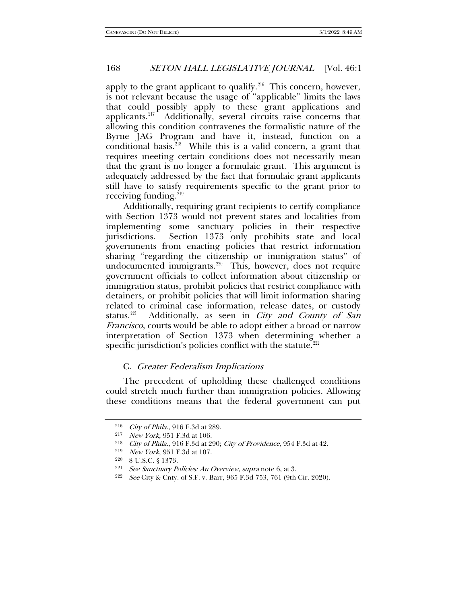apply to the grant applicant to qualify. $216$  This concern, however, is not relevant because the usage of "applicable" limits the laws that could possibly apply to these grant applications and applicants.[217](#page-29-1) Additionally, several circuits raise concerns that allowing this condition contravenes the formalistic nature of the Byrne JAG Program and have it, instead, function on a conditional basis. $218$  While this is a valid concern, a grant that requires meeting certain conditions does not necessarily mean that the grant is no longer a formulaic grant. This argument is adequately addressed by the fact that formulaic grant applicants still have to satisfy requirements specific to the grant prior to receiving funding.<sup>219</sup>

Additionally, requiring grant recipients to certify compliance with Section 1373 would not prevent states and localities from implementing some sanctuary policies in their respective jurisdictions. Section 1373 only prohibits state and local governments from enacting policies that restrict information sharing "regarding the citizenship or immigration status" of undocumented immigrants.<sup>220</sup> This, however, does not require government officials to collect information about citizenship or immigration status, prohibit policies that restrict compliance with detainers, or prohibit policies that will limit information sharing related to criminal case information, release dates, or custody status.<sup>[221](#page-29-5)</sup> Additionally, as seen in City and County of San Francisco, courts would be able to adopt either a broad or narrow interpretation of Section 1373 when determining whether a specific jurisdiction's policies conflict with the statute.<sup>[222](#page-29-6)</sup>

### C. Greater Federalism Implications

The precedent of upholding these challenged conditions could stretch much further than immigration policies. Allowing these conditions means that the federal government can put

<span id="page-29-0"></span><sup>216</sup> City of Phila., 916 F.3d at 289.

<span id="page-29-1"></span><sup>217</sup> New York, 951 F.3d at 106.

<span id="page-29-3"></span><span id="page-29-2"></span><sup>218</sup> City of Phila., 916 F.3d at 290; City of Providence, 954 F.3d at 42.

<sup>219</sup> New York, 951 F.3d at 107.

<span id="page-29-5"></span><span id="page-29-4"></span><sup>220</sup> 8 U.S.C. § 1373.

<span id="page-29-6"></span>

<sup>&</sup>lt;sup>221</sup> See Sanctuary Policies: An Overview, supra note [6,](#page-1-0) at 3.<br><sup>222</sup> See City & Cnty. of S.F. v. Barr, 965 F.3d 753, 761 (9th Cir. 2020).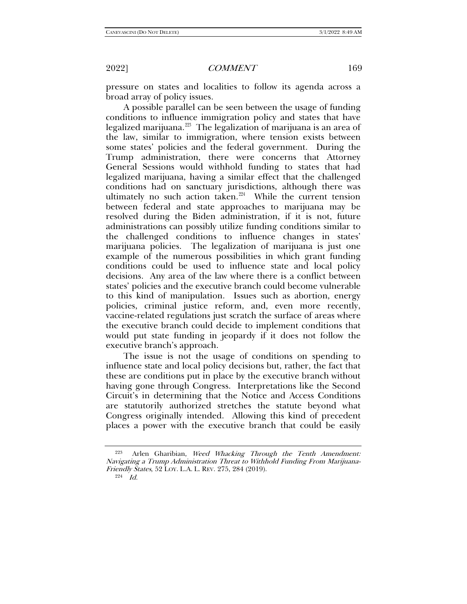pressure on states and localities to follow its agenda across a broad array of policy issues.

A possible parallel can be seen between the usage of funding conditions to influence immigration policy and states that have legalized marijuana.[223](#page-30-0) The legalization of marijuana is an area of the law, similar to immigration, where tension exists between some states' policies and the federal government. During the Trump administration, there were concerns that Attorney General Sessions would withhold funding to states that had legalized marijuana, having a similar effect that the challenged conditions had on sanctuary jurisdictions, although there was ultimately no such action taken.<sup>[224](#page-30-1)</sup> While the current tension between federal and state approaches to marijuana may be resolved during the Biden administration, if it is not, future administrations can possibly utilize funding conditions similar to the challenged conditions to influence changes in states' marijuana policies. The legalization of marijuana is just one example of the numerous possibilities in which grant funding conditions could be used to influence state and local policy decisions. Any area of the law where there is a conflict between states' policies and the executive branch could become vulnerable to this kind of manipulation. Issues such as abortion, energy policies, criminal justice reform, and, even more recently, vaccine-related regulations just scratch the surface of areas where the executive branch could decide to implement conditions that would put state funding in jeopardy if it does not follow the executive branch's approach.

The issue is not the usage of conditions on spending to influence state and local policy decisions but, rather, the fact that these are conditions put in place by the executive branch without having gone through Congress. Interpretations like the Second Circuit's in determining that the Notice and Access Conditions are statutorily authorized stretches the statute beyond what Congress originally intended. Allowing this kind of precedent places a power with the executive branch that could be easily

224 Id.

<span id="page-30-1"></span><span id="page-30-0"></span>Arlen Gharibian, Weed Whacking Through the Tenth Amendment: Navigating a Trump Administration Threat to Withhold Funding From Marijuana-Friendly States, 52 LOY. L.A. L. REV. 275, 284 (2019).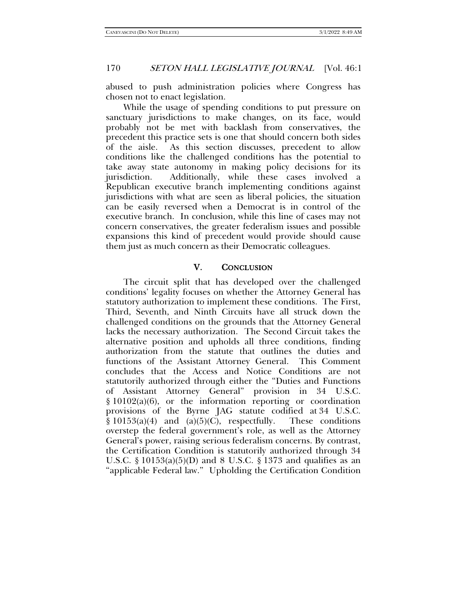abused to push administration policies where Congress has chosen not to enact legislation.

While the usage of spending conditions to put pressure on sanctuary jurisdictions to make changes, on its face, would probably not be met with backlash from conservatives, the precedent this practice sets is one that should concern both sides of the aisle. As this section discusses, precedent to allow conditions like the challenged conditions has the potential to take away state autonomy in making policy decisions for its jurisdiction. Additionally, while these cases involved a Republican executive branch implementing conditions against jurisdictions with what are seen as liberal policies, the situation can be easily reversed when a Democrat is in control of the executive branch. In conclusion, while this line of cases may not concern conservatives, the greater federalism issues and possible expansions this kind of precedent would provide should cause them just as much concern as their Democratic colleagues.

### V. CONCLUSION

The circuit split that has developed over the challenged conditions' legality focuses on whether the Attorney General has statutory authorization to implement these conditions. The First, Third, Seventh, and Ninth Circuits have all struck down the challenged conditions on the grounds that the Attorney General lacks the necessary authorization. The Second Circuit takes the alternative position and upholds all three conditions, finding authorization from the statute that outlines the duties and functions of the Assistant Attorney General. This Comment concludes that the Access and Notice Conditions are not statutorily authorized through either the "Duties and Functions of Assistant Attorney General" provision in 34 U.S.C. § 10102(a)(6), or the information reporting or coordination provisions of the Byrne JAG statute codified at 34 U.S.C.  $§ 10153(a)(4)$  and  $(a)(5)(C)$ , respectfully. These conditions overstep the federal government's role, as well as the Attorney General's power, raising serious federalism concerns. By contrast, the Certification Condition is statutorily authorized through 34 U.S.C. § 10153(a)(5)(D) and 8 U.S.C. § 1373 and qualifies as an "applicable Federal law." Upholding the Certification Condition